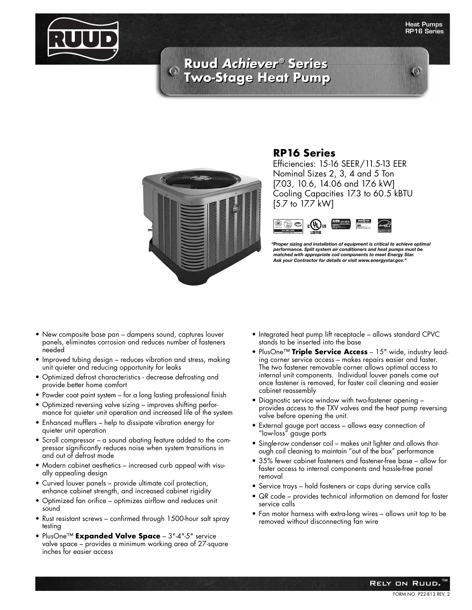

Heat Pumps RP16 Series

# **Ruud** *Achiever ®* **Series Ruud** *Achiever ®* **Series Two-Stage Heat Pump Two-Stage Heat Pump**



## **RP16 Series**

Efficiencies: 15-16 SEER/11.5-13 EER Nominal Sizes 2, 3, 4 and 5 Ton [7.03, 10.6, 14.06 and 17.6 kW] Cooling Capacities 17.3 to 60.5 kBTU [5.7 to 17.7 kW]



*"Proper sizing and installation of equipment is critical to achieve optimal performance. Split system air conditioners and heat pumps must be matched with appropriate coil components to meet Energy Star. Ask your Contractor for details or visit www.energystar.gov."*

- New composite base pan dampens sound, captures louver panels, eliminates corrosion and reduces number of fasteners needed
- Improved tubing design reduces vibration and stress, making unit quieter and reducing opportunity for leaks
- Optimized defrost characteristics decrease defrosting and provide better home comfort
- Powder coat paint system for a long lasting professional finish
- Optimized reversing valve sizing improves shifting performance for quieter unit operation and increased life of the system
- Enhanced mufflers help to dissipate vibration energy for quieter unit operation
- Scroll compressor a sound abating feature added to the compressor significantly reduces noise when system transitions in and out of defrost mode
- Modern cabinet aesthetics increased curb appeal with visually appealing design
- Curved louver panels provide ultimate coil protection, enhance cabinet strength, and increased cabinet rigidity
- Optimized fan orifice optimizes airflow and reduces unit sound
- Rust resistant screws confirmed through 1500-hour salt spray testing
- PlusOne™ **Expanded Valve Space** 3"-4"-5" service valve space – provides a minimum working area of 27-square inches for easier access
- Integrated heat pump lift receptacle allows standard CPVC stands to be inserted into the base
- PlusOne™ **Triple Service Access** 15" wide, industry leading corner service access – makes repairs easier and faster. The two fastener removable corner allows optimal access to internal unit components. Individual louver panels come out once fastener is removed, for faster coil cleaning and easier cabinet reassembly
- Diagnostic service window with two-fastener opening provides access to the TXV valves and the heat pump reversing valve before opening the unit.
- External gauge port access allows easy connection of "low-loss" gauge ports
- Single-row condenser coil makes unit lighter and allows thorough coil cleaning to maintain "out of the box" performance
- 35% fewer cabinet fasteners and fastener-free base allow for faster access to internal components and hassle-free panel removal
- Service trays hold fasteners or caps during service calls
- QR code provides technical information on demand for faster service calls
- Fan motor harness with extra-long wires allows unit top to be removed without disconnecting fan wire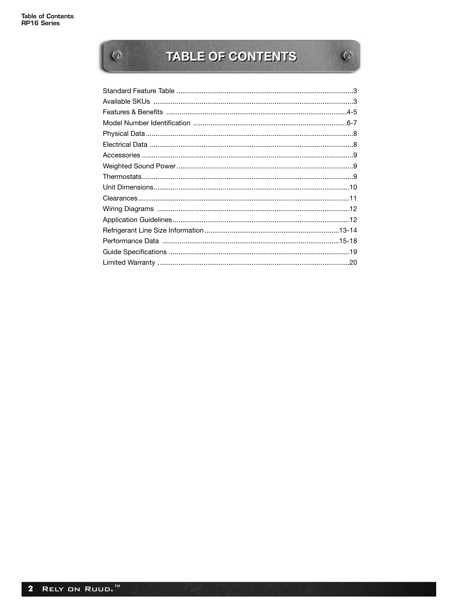$\overline{\mathcal{O}}$ 

# TABLE OF CONTENTS

 $\left\langle 0\right\rangle$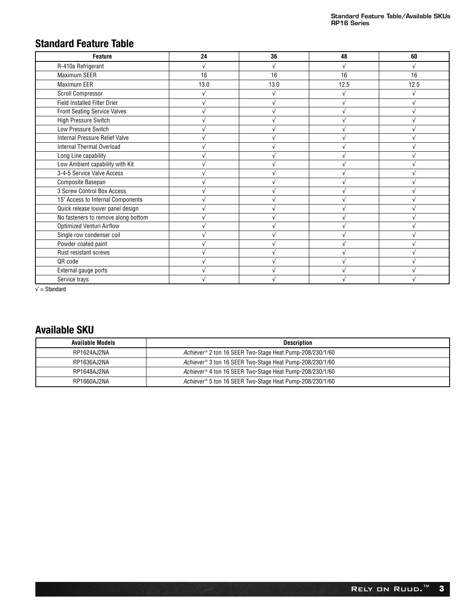## **Standard Feature Table**

| <b>Feature</b>                        | 24         | 36   | 48   | 60           |
|---------------------------------------|------------|------|------|--------------|
| R-410a Refrigerant                    | $\sqrt{ }$ |      |      | $\sqrt{ }$   |
| Maximum SEER                          | 16         | 16   | 16   | 16           |
| Maximum EER                           | 13.0       | 13.0 | 12.5 | 12.5         |
| <b>Scroll Compressor</b>              |            |      |      | ν            |
| <b>Field Installed Filter Drier</b>   |            |      |      | $\sqrt{ }$   |
| <b>Front Seating Service Valves</b>   |            |      |      | $\sqrt{ }$   |
| <b>High Pressure Switch</b>           |            |      |      | $\sqrt{ }$   |
| Low Pressure Switch                   |            |      |      |              |
| <b>Internal Pressure Relief Valve</b> |            |      |      |              |
| <b>Internal Thermal Overload</b>      |            |      |      |              |
| Long Line capability                  |            |      |      |              |
| Low Ambient capability with Kit       |            |      |      | $\sqrt{ }$   |
| 3-4-5 Service Valve Access            | $\sqrt{ }$ |      |      | $\sqrt{}$    |
| Composite Basepan                     |            |      |      | $\mathbf{v}$ |
| 3 Screw Control Box Access            |            |      |      |              |
| 15" Access to Internal Components     |            |      |      |              |
| Quick release louver panel design     |            |      |      | $\mathbf{v}$ |
| No fasteners to remove along bottom   |            |      |      | $\sqrt{ }$   |
| <b>Optimized Venturi Airflow</b>      |            |      |      |              |
| Single row condenser coil             |            |      |      | $\mathbf v$  |
| Powder coated paint                   |            |      |      |              |
| Rust resistant screws                 |            |      |      | $\sqrt{ }$   |
| QR code                               |            |      |      | $\sqrt{ }$   |
| External gauge ports                  |            |      |      |              |
| Service trays                         |            |      |      |              |

 $\sqrt{}$  = Standard

## **Available SKU**

| <b>Available Models</b> | <b>Description</b>                                                   |
|-------------------------|----------------------------------------------------------------------|
| RP1624AJ2NA             | Achiever <sup>®</sup> 2 ton 16 SEER Two-Stage Heat Pump-208/230/1/60 |
| RP1636AJ2NA             | Achiever <sup>®</sup> 3 ton 16 SEER Two-Stage Heat Pump-208/230/1/60 |
| RP1648AJ2NA             | Achiever <sup>®</sup> 4 ton 16 SEER Two-Stage Heat Pump-208/230/1/60 |
| RP1660AJ2NA             | Achiever <sup>®</sup> 5 ton 16 SEER Two-Stage Heat Pump-208/230/1/60 |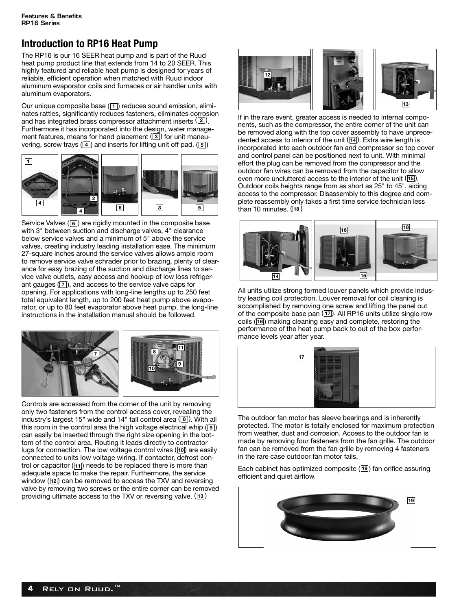## **Introduction to RP16 Heat Pump**

The RP16 is our 16 SEER heat pump and is part of the Ruud heat pump product line that extends from 14 to 20 SEER. This highly featured and reliable heat pump is designed for years of reliable, efficient operation when matched with Ruud indoor aluminum evaporator coils and furnaces or air handler units with aluminum evaporators.

Our unique composite base (1) reduces sound emission, eliminates rattles, significantly reduces fasteners, eliminates corrosion and has integrated brass compressor attachment inserts (2). Furthermore it has incorporated into the design, water management features, means for hand placement (3) for unit maneuvering, screw trays  $(\sqrt{4})$  and inserts for lifting unit off pad.  $(\sqrt{5})$ 



Service Valves (6) are rigidly mounted in the composite base with 3" between suction and discharge valves, 4" clearance below service valves and a minimum of 5" above the service valves, creating industry leading installation ease. The minimum 27-square inches around the service valves allows ample room to remove service valve schrader prior to brazing, plenty of clearance for easy brazing of the suction and discharge lines to service valve outlets, easy access and hookup of low loss refrigerant gauges (7), and access to the service valve caps for opening. For applications with long-line lengths up to 250 feet total equivalent length, up to 200 feet heat pump above evaporator, or up to 80 feet evaporator above heat pump, the long-line instructions in the installation manual should be followed.



Controls are accessed from the corner of the unit by removing only two fasteners from the control access cover, revealing the industry's largest 15" wide and 14" tall control area (8). With all this room in the control area the high voltage electrical whip ( $\boxed{9}$ ) can easily be inserted through the right size opening in the bottom of the control area. Routing it leads directly to contractor lugs for connection. The low voltage control wires (10) are easily connected to units low voltage wiring. If contactor, defrost control or capacitor  $(\overline{\bf 11})$  needs to be replaced there is more than adequate space to make the repair. Furthermore, the service window (12) can be removed to access the TXV and reversing valve by removing two screws or the entire corner can be removed providing ultimate access to the TXV or reversing valve. ([13])



If in the rare event, greater access is needed to internal components, such as the compressor, the entire corner of the unit can be removed along with the top cover assembly to have unprecedented access to interior of the unit (<sup>[14]</sup>). Extra wire length is incorporated into each outdoor fan and compressor so top cover and control panel can be positioned next to unit. With minimal effort the plug can be removed from the compressor and the outdoor fan wires can be removed from the capacitor to allow even more uncluttered access to the interior of the unit ([15]). Outdoor coils heights range from as short as 25" to 45", aiding access to the compressor. Disassembly to this degree and complete reassembly only takes a first time service technician less than 10 minutes. (**18**)



All units utilize strong formed louver panels which provide industry leading coil protection. Louver removal for coil cleaning is accomplished by removing one screw and lifting the panel out of the composite base pan ([17]). All RP16 units utilize single row coils (**16**) making cleaning easy and complete, restoring the performance of the heat pump back to out of the box performance levels year after year.



The outdoor fan motor has sleeve bearings and is inherently protected. The motor is totally enclosed for maximum protection from weather, dust and corrosion. Access to the outdoor fan is made by removing four fasteners from the fan grille. The outdoor fan can be removed from the fan grille by removing 4 fasteners in the rare case outdoor fan motor fails.

Each cabinet has optimized composite (**19**) fan orifice assuring efficient and quiet airflow.

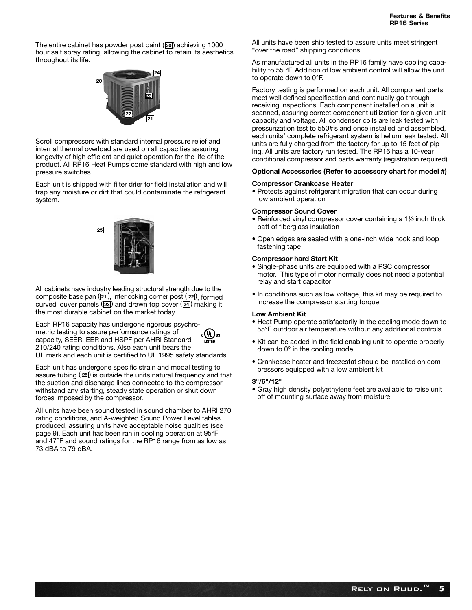The entire cabinet has powder post paint (20) achieving 1000 hour salt spray rating, allowing the cabinet to retain its aesthetics throughout its life.



Scroll compressors with standard internal pressure relief and internal thermal overload are used on all capacities assuring longevity of high efficient and quiet operation for the life of the product. All RP16 Heat Pumps come standard with high and low pressure switches.

Each unit is shipped with filter drier for field installation and will trap any moisture or dirt that could contaminate the refrigerant system.



All cabinets have industry leading structural strength due to the composite base pan (21), interlocking corner post (22), formed curved louver panels (23) and drawn top cover (24) making it the most durable cabinet on the market today.

Each RP16 capacity has undergone rigorous psychrometric testing to assure performance ratings of  $(\Psi_L)_{us}$ capacity, SEER, EER and HSPF per AHRI Standard 210/240 rating conditions. Also each unit bears the UL mark and each unit is certified to UL 1995 safety standards.

Each unit has undergone specific strain and modal testing to assure tubing (25) is outside the units natural frequency and that the suction and discharge lines connected to the compressor withstand any starting, steady state operation or shut down forces imposed by the compressor.

All units have been sound tested in sound chamber to AHRI 270 rating conditions, and A-weighted Sound Power Level tables produced, assuring units have acceptable noise qualities (see page 9). Each unit has been ran in cooling operation at 95°F and 47°F and sound ratings for the RP16 range from as low as 73 dBA to 79 dBA.

All units have been ship tested to assure units meet stringent "over the road" shipping conditions.

As manufactured all units in the RP16 family have cooling capability to 55 °F. Addition of low ambient control will allow the unit to operate down to 0°F.

Factory testing is performed on each unit. All component parts meet well defined specification and continually go through receiving inspections. Each component installed on a unit is scanned, assuring correct component utilization for a given unit capacity and voltage. All condenser coils are leak tested with pressurization test to 550#'s and once installed and assembled, each units' complete refrigerant system is helium leak tested. All units are fully charged from the factory for up to 15 feet of piping. All units are factory run tested. The RP16 has a 10-year conditional compressor and parts warranty (registration required).

### **Optional Accessories (Refer to accessory chart for model #)**

### **Compressor Crankcase Heater**

• Protects against refrigerant migration that can occur during low ambient operation

### **Compressor Sound Cover**

- Reinforced vinyl compressor cover containing a 1½ inch thick batt of fiberglass insulation
- Open edges are sealed with a one-inch wide hook and loop fastening tape

### **Compressor hard Start Kit**

- Single-phase units are equipped with a PSC compressor motor. This type of motor normally does not need a potential relay and start capacitor
- In conditions such as low voltage, this kit may be required to increase the compressor starting torque

#### **Low Ambient Kit**

- Heat Pump operate satisfactorily in the cooling mode down to 55°F outdoor air temperature without any additional controls
- Kit can be added in the field enabling unit to operate properly down to 0° in the cooling mode
- Crankcase heater and freezestat should be installed on compressors equipped with a low ambient kit

### **3"/6"/12"**

• Gray high density polyethylene feet are available to raise unit off of mounting surface away from moisture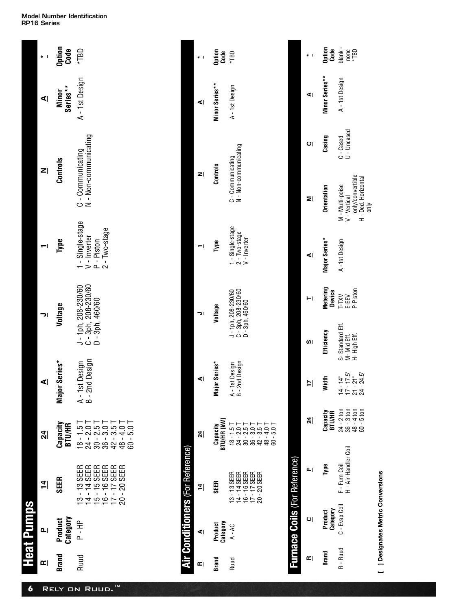### Model Number Identification RP16 Series

| $\vert \mathbf{r} \vert$ | $\mathbf{a}$        | $\frac{1}{4}$                                                                                                      | $\frac{1}{2}$                                                                                                                                                                                                                | ⋖                                        | וכ                                                            | ٠١                                                              | ZI                                         | ⋖∣                |                  |
|--------------------------|---------------------|--------------------------------------------------------------------------------------------------------------------|------------------------------------------------------------------------------------------------------------------------------------------------------------------------------------------------------------------------------|------------------------------------------|---------------------------------------------------------------|-----------------------------------------------------------------|--------------------------------------------|-------------------|------------------|
| <b>Brand</b>             | Product<br>Category | <b>SEER</b>                                                                                                        | Capacity<br><b>BTU/HR</b>                                                                                                                                                                                                    | Major Series*                            | Voltage                                                       | Type                                                            | <b>Controls</b>                            | Series**<br>Minor | Option<br>Code   |
| <b>Pund</b><br><b>TM</b> | $P - H$             | $13 - 13 \text{ SEER}$ $14 - 14 \text{ SEER}$ $15 - 15 \text{ SEER}$ $17 - 17 \text{ SEER}$ $20 - 20 \text{ SEER}$ | $18 - 1.5$ $-2.0$ $-2.5$ $-2.5$ $-2.5$ $-2.5$ $-2.5$ $-2.5$ $-2.5$ $-2.5$ $-2.5$ $-2.5$ $-2.5$ $-2.5$ $-2.5$ $-2.5$ $-2.5$ $-2.5$ $-2.5$ $-2.5$ $-2.5$ $-2.5$ $-2.5$ $-2.5$ $-2.5$ $-2.5$ $-2.5$ $-2.5$ $-2.5$ $-2.5$ $-2.5$ | Design<br>Design<br>$A - 1st$<br>B - 2nd | J - 1ph, 208-230/60<br>C - 3ph, 208-230/60<br>D - 3ph, 460/60 | 1 - Single-stage<br>$2 - Two-statege$<br>/-lnverter<br>P-Piston | N - Non-communicating<br>C - Communicating | A - 1st Design    | <sup>*</sup> TBD |

|          |                               | <b>Air Conditioners</b> (For Reference)                                                |                                                    |                                  |                                                               |                                                   |                                          |        |                       |                  |
|----------|-------------------------------|----------------------------------------------------------------------------------------|----------------------------------------------------|----------------------------------|---------------------------------------------------------------|---------------------------------------------------|------------------------------------------|--------|-----------------------|------------------|
| Œ1       | ⋖∣                            | $\frac{1}{4}$                                                                          | $\frac{1}{2}$                                      |                                  | וכ                                                            |                                                   | ZI                                       |        | ⋖∣                    |                  |
| Brand    | Product<br>Category<br>A - AC | <b>SEER</b>                                                                            | Capacity<br>BTU/HR [KW]                            | Major Series*                    | Voltage                                                       | Īуре                                              | Controls                                 |        | <b>Ainor Series**</b> | Dution<br>Code   |
| Ruud     |                               | $13 - 13$ SEER<br>$14 - 14$ SEER<br>$16 - 16$ SEER<br>$17 - 17$ SEER<br>$20 - 20$ SEER | $18.4884480$ $29.4984460$ $29.4984460$ $29.498460$ | A - 1st Design<br>B - 2nd Design | J - 1ph, 208-230/60<br>C - 3ph, 208-230/60<br>D - 3ph, 460/60 | 1 - Single-stage<br>2 - Two-stage<br>V - Inverter | N - Non-communicating<br>C-Communicating |        | A - 1st Design        | TBD <sup>*</sup> |
|          |                               | Furnace Coils (For Reference)                                                          |                                                    |                                  |                                                               |                                                   |                                          |        |                       |                  |
| $\alpha$ | ပ၊                            | ш                                                                                      | শ্ৰ                                                | $\overline{11}$                  | ⊢∣<br>ဖာ                                                      | ⋖∣                                                | ≅∣                                       | ပ၊     | ⋖∣                    |                  |
| Brand    | Product<br>Category           | Type                                                                                   | Capacity<br>BTU/HR                                 | Width                            | <b>Metering</b><br>Device<br>Efficiency                       | <b>Major Series*</b>                              | <b>Orientation</b>                       | Casing | Minor Series**        | Option<br>Code   |

| $\ddot{\bullet}$ |                                               | Option<br>Code<br>Diank -<br>TBD                                                                 |
|------------------|-----------------------------------------------|--------------------------------------------------------------------------------------------------|
| ⊲∣               | Minor Series**<br>A - 1st Design              |                                                                                                  |
| $\mathsf{C}$     | Casing<br>: - Cased<br>: - Uncased            |                                                                                                  |
| ∑l               |                                               | <b>Orientation</b><br>M - Multi-poise<br>V - Vertical<br>- Ded. Horizontal<br>- Joed. Horizontal |
| ⋖∣               | <b>Major Series*</b><br>A -1st Design         |                                                                                                  |
| $\vdash$         |                                               | Metering<br>Device<br>T-TXV<br>E-EEV<br>P-Piston                                                 |
| ဖာ               |                                               | Efficiency<br>5- Standard Eff.<br>VI- Mid Eff.<br>1- High Eff.                                   |
| $\overline{11}$  |                                               | <b>Width</b><br>14 - 14"<br>17 - 17"<br>21 - 24.5"<br>24 - 24.5"                                 |
| ম্ৰ              |                                               | Capacity<br>BTU/HR<br>BTU/HR<br>24 - 3 ton<br>48 - 4 ton<br>48 - 5 ton                           |
| u.               | Type                                          | - - Furn Coil<br>1 - Air-Handler Coi                                                             |
| $\overline{c}$   | <b>Product<br/>Category<br/>C - Evap Coil</b> |                                                                                                  |
| Œ                | Brand                                         | $1 -$ Ruud                                                                                       |

[ ] Designates Metric Conversions **[ ] Designates Metric Conversions**

**RELY ON RUUD.™**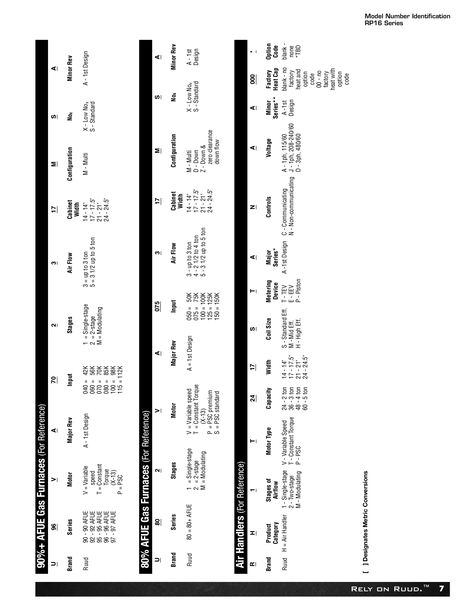|              |                                                                              |                                                                            | 90%+ AFUE Gas Furnaces (For Reference)               |                                                                                    |                                                                                                                           |                                                        |                                                            |                                                                      |                                                            |                                                                          |                                         |                                                                                                              |                        |
|--------------|------------------------------------------------------------------------------|----------------------------------------------------------------------------|------------------------------------------------------|------------------------------------------------------------------------------------|---------------------------------------------------------------------------------------------------------------------------|--------------------------------------------------------|------------------------------------------------------------|----------------------------------------------------------------------|------------------------------------------------------------|--------------------------------------------------------------------------|-----------------------------------------|--------------------------------------------------------------------------------------------------------------|------------------------|
| ∍            | %                                                                            | ⋗∣                                                                         | ⋖∣                                                   |                                                                                    | 20                                                                                                                        | ווס                                                    |                                                            | က၊                                                                   | 17                                                         | ≅l                                                                       | ဖာ                                      | ⋖∣                                                                                                           |                        |
| Brand        | Series                                                                       | Motor                                                                      | Major Rev                                            |                                                                                    | 1 put                                                                                                                     | Stages                                                 |                                                            | Air Flow                                                             | Cabinet<br>Width                                           | Configuration                                                            | Š                                       | Minor Rev                                                                                                    |                        |
| Ruud         | 90 - 90 AFUE<br>92 - 92 AFUE<br>95 - 95 AFUE<br>95 - 96 AFUE<br>96 - 97 AFUE | $T =$ Constant<br>$V = Variable$<br>Torque<br>$(X-13)$<br>speed<br>$=$ PSC | A-1st Design                                         | 060<br>$800$<br>$75$<br>040                                                        | 85K<br>98K<br>56K<br>70K<br>$= 112K$<br>42K<br>$\mathbf{H}$<br>$\bar{\rm H}$<br>$\mathsf{II}$<br>$\mathsf{II}$<br>$\rm H$ | $1 =$ Single-stage<br>$2 = 2$ -stage<br>M = Modulating |                                                            | $3 = up to 3 ton$<br>$5 = 31/2 up to 5 ton$                          | $21 - 21$ "<br>$24 - 24.5$ "<br>$17 - 17.5$<br>$14 - 14$ " | M - Multi                                                                | $X - Low Nox$<br>S - Standard           | A - 1st Design                                                                                               |                        |
|              |                                                                              |                                                                            | 80% AFUE Gas Furnaces (For Reference)                |                                                                                    |                                                                                                                           |                                                        |                                                            |                                                                      |                                                            |                                                                          |                                         |                                                                                                              |                        |
| ⊃∣           | 위                                                                            | 2                                                                          |                                                      | ➤                                                                                  | ⋖∣                                                                                                                        |                                                        | 075                                                        | က၊                                                                   | 17                                                         | Σ                                                                        | ဖာ                                      |                                                                                                              | ⋖∣                     |
| Brand        | <b>Series</b>                                                                | Stages                                                                     |                                                      | Motor                                                                              |                                                                                                                           | Major Rev                                              | Input                                                      | Air Flow                                                             | Cabinet<br>Width                                           | Configuration                                                            | Δă                                      |                                                                                                              | <b>Minor Rev</b>       |
| Ruud         | $80 = 80 + AFUE$                                                             | $1 =$ Single-stage<br>$2 =$ 2-stage<br>$M =$ Modulating                    | $(X-13)$                                             | = Constant Torque<br>$V = Variable speed$<br>$P = PSC$ premium<br>S = PSC standard | $A = 1$ st Design                                                                                                         | $075 =$<br>$050 =$                                     | 75K<br>$100 = 100K$<br>$125 = 125K$<br>50K<br>$150 = 150K$ | $3 - up to 3 ton$<br>$4 - 2 1/2 to 4 ton$<br>$5 - 3 1/2 up to 5 ton$ | $17 - 17.5$ "<br>$21 - 21$ "<br>$24 - 24.5$ "<br>$14 - 14$ | zero clearance<br>down flow<br>$D - Down$<br>$Z - Down &$<br>$M - Multi$ | X - Low No <sub>x</sub><br>S - Standard |                                                                                                              | A - 1st<br>Design      |
|              |                                                                              | <b>Air Handlers (For Reference)</b>                                        |                                                      |                                                                                    |                                                                                                                           |                                                        |                                                            |                                                                      |                                                            |                                                                          |                                         |                                                                                                              |                        |
| œ۱           | ᅬ                                                                            | ۳۱                                                                         | ا⊣                                                   | $\frac{1}{2}$                                                                      | 17                                                                                                                        | $\omega$                                               | ا⊣                                                         | ⋖∣                                                                   | z                                                          | ⋖∣                                                                       | ⋖∣                                      | go                                                                                                           | $*1$                   |
| <b>Brand</b> | Category<br>Product                                                          | Stages of<br>Airflow                                                       | Motor Type                                           | Capacity                                                                           | Width                                                                                                                     | Coil Size                                              | Metering<br>Device                                         | Series*<br>Major                                                     | Controls                                                   | Voltage                                                                  | Series**<br>Minor                       | Heat Cap<br>Factory                                                                                          | Option<br>Code         |
| Ruud         | $H = Air$ Handler                                                            | 1 - Single-stage<br>M - Modulating<br>2 - Two-stage                        | T - Constant Torque<br>P - PSC<br>V - Variable Speed | 24 - 2 ton<br>36 - 3 ton<br>$48 - 4$ ton<br>$60 - 5$ ton                           | $\begin{array}{c} 17 - 17.5 \\ 21 - 21 \\ 24 - 24.5 \end{array}$<br>$14 - 14$ "                                           | S - Standard Eff.<br>M - Mid Eff.<br>H - High Eff.     | $E - EEV$<br>P - Piston<br>T-TEV                           | A-1st Design                                                         | N-Non-communicating<br>C-Communicating                     | A - 1ph, 115/60<br>J - 1ph, 208-240/60<br>D - 3ph, 480/60                | Design<br>A-1st                         | $blank - no$<br>heat with<br>heat and<br>$00 - n0$<br>factory<br>factory<br>option<br>option<br>code<br>code | blank-<br>none<br>*TBD |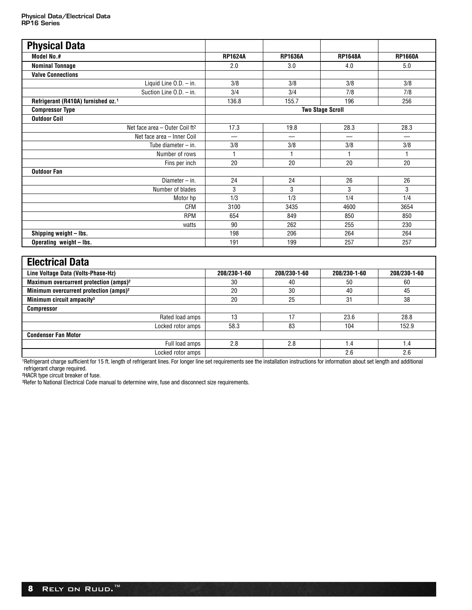| <b>Physical Data</b>                           |                |                          |                          |                |
|------------------------------------------------|----------------|--------------------------|--------------------------|----------------|
| <b>Model No.#</b>                              | <b>RP1624A</b> | <b>RP1636A</b>           | <b>RP1648A</b>           | <b>RP1660A</b> |
| <b>Nominal Tonnage</b>                         | 2.0            | 3.0                      | 4.0                      | 5.0            |
| <b>Valve Connections</b>                       |                |                          |                          |                |
| Liquid Line $0.D. - in.$                       | 3/8            | 3/8                      | 3/8                      | 3/8            |
| Suction Line O.D. - in.                        | 3/4            | 3/4                      | 7/8                      | 7/8            |
| Refrigerant (R410A) furnished oz. <sup>1</sup> | 136.8          | 155.7                    | 196                      | 256            |
| <b>Compressor Type</b>                         |                |                          | <b>Two Stage Scroll</b>  |                |
| <b>Outdoor Coil</b>                            |                |                          |                          |                |
| Net face area - Outer Coil ft <sup>2</sup>     | 17.3           | 19.8                     | 28.3                     | 28.3           |
| Net face area - Inner Coil                     |                | $\overline{\phantom{0}}$ | $\overline{\phantom{0}}$ |                |
| Tube diameter $-$ in.                          | 3/8            | 3/8                      | 3/8                      | 3/8            |
| Number of rows                                 | 1              | $\mathbf 1$              |                          |                |
| Fins per inch                                  | 20             | 20                       | 20                       | 20             |
| <b>Outdoor Fan</b>                             |                |                          |                          |                |
| Diameter $-$ in.                               | 24             | 24                       | 26                       | 26             |
| Number of blades                               | 3              | 3                        | 3                        | 3              |
| Motor hp                                       | 1/3            | 1/3                      | 1/4                      | 1/4            |
| <b>CFM</b>                                     | 3100           | 3435                     | 4600                     | 3654           |
| <b>RPM</b>                                     | 654            | 849                      | 850                      | 850            |
| watts                                          | 90             | 262                      | 255                      | 230            |
| Shipping weight - lbs.                         | 198            | 206                      | 264                      | 264            |
| Operating weight - lbs.                        | 191            | 199                      | 257                      | 257            |
|                                                |                |                          |                          |                |

| <b>Electrical Data</b>                             |              |              |              |              |
|----------------------------------------------------|--------------|--------------|--------------|--------------|
| Line Voltage Data (Volts-Phase-Hz)                 | 208/230-1-60 | 208/230-1-60 | 208/230-1-60 | 208/230-1-60 |
| Maximum overcurrent protection (amps) <sup>2</sup> | 30           | 40           | 50           | 60           |
| Minimum overcurrent protection (amps) <sup>2</sup> | 20           | 30           | 40           | 45           |
| Minimum circuit ampacity <sup>3</sup>              | 20           | 25           | 31           | 38           |
| <b>Compressor</b>                                  |              |              |              |              |
| Rated load amps                                    | 13           | 17           | 23.6         | 28.8         |
| Locked rotor amps                                  | 58.3         | 83           | 104          | 152.9        |
| <b>Condenser Fan Motor</b>                         |              |              |              |              |
| Full load amps                                     | 2.8          | 2.8          | 1.4          | 1.4          |
| Locked rotor amps                                  |              |              | 2.6          | 2.6          |

<sup>1</sup>Refrigerant charge sufficient for 15 ft. length of refrigerant lines. For longer line set requirements see the installation instructions for information about set length and additional refrigerant charge required.

²HACR type circuit breaker of fuse.

<sup>3</sup>Refer to National Electrical Code manual to determine wire, fuse and disconnect size requirements.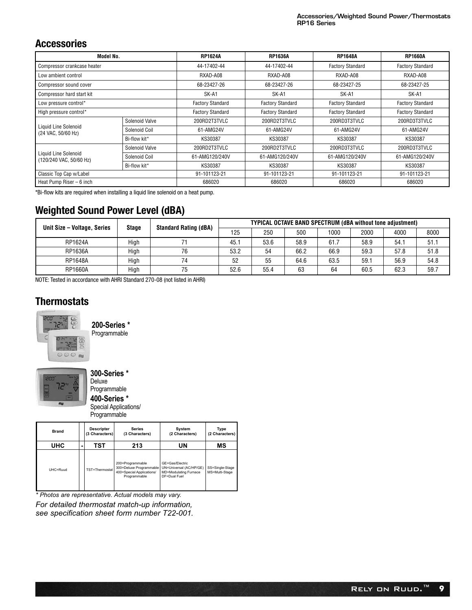### **Accessories**

| Model No.                                                        |                | <b>RP1624A</b>          | <b>RP1636A</b>          | <b>RP1648A</b>          | <b>RP1660A</b>          |
|------------------------------------------------------------------|----------------|-------------------------|-------------------------|-------------------------|-------------------------|
| Compressor crankcase heater                                      |                | 44-17402-44             | 44-17402-44             | <b>Factory Standard</b> | <b>Factory Standard</b> |
| Low ambient control                                              |                | RXAD-A08                | RXAD-A08                | RXAD-A08                | RXAD-A08                |
| Compressor sound cover                                           |                | 68-23427-26             | 68-23427-26             | 68-23427-25             | 68-23427-25             |
| Compressor hard start kit                                        |                | SK-A1                   | SK-A1                   | SK-A1                   | SK-A1                   |
| Low pressure control*                                            |                | <b>Factory Standard</b> | <b>Factory Standard</b> | <b>Factory Standard</b> | <b>Factory Standard</b> |
| High pressure control*                                           |                | <b>Factory Standard</b> | <b>Factory Standard</b> | <b>Factory Standard</b> | <b>Factory Standard</b> |
|                                                                  | Solenoid Valve | 200RD2T3TVLC            | 200RD2T3TVLC            | 200RD3T3TVLC            | 200RD3T3TVLC            |
| Liquid Line Solenoid<br>(24 VAC, 50/60 Hz)                       | Solenoid Coil  | 61-AMG24V               | 61-AMG24V               | 61-AMG24V               | 61-AMG24V               |
|                                                                  | Bi-flow kit*   | KS30387                 | KS30387                 | KS30387                 | KS30387                 |
| Solenoid Valve                                                   |                | 200RD2T3TVLC            | 200RD2T3TVLC            | 200RD3T3TVLC            |                         |
| Liquid Line Solenoid<br>Solenoid Coil<br>(120/240 VAC, 50/60 Hz) |                | 61-AMG120/240V          | 61-AMG120/240V          | 61-AMG120/240V          | 61-AMG120/240V          |
|                                                                  | Bi-flow kit*   | KS30387                 | KS30387                 | KS30387                 | KS30387                 |
| Classic Top Cap w/Label                                          |                | 91-101123-21            | 91-101123-21            | 91-101123-21            | 91-101123-21            |
| Heat Pump Riser - 6 inch                                         |                | 686020                  | 686020                  | 686020                  | 686020                  |

\*Bi-flow kits are required when installing a liquid line solenoid on a heat pump.

## **Weighted Sound Power Level (dBA)**

| Unit Size - Voltage, Series | <b>Stage</b> | <b>Standard Rating (dBA)</b> |      | <b>TYPICAL OCTAVE BAND SPECTRUM (dBA without tone adjustment)</b> |      |      |      |      |      |
|-----------------------------|--------------|------------------------------|------|-------------------------------------------------------------------|------|------|------|------|------|
|                             |              |                              | 125  | 250                                                               | 500  | 1000 | 2000 | 4000 | 8000 |
| RP1624A                     | High         |                              | 45.1 | 53.6                                                              | 58.9 | 61.7 | 58.9 | 54.  | 51.1 |
| RP1636A                     | High         | 76                           | 53.2 | 54                                                                | 66.2 | 66.9 | 59.3 | 57.8 | 51.8 |
| RP1648A                     | High         |                              | 52   | 55                                                                | 64.6 | 63.5 | 59.1 | 56.9 | 54.8 |
| <b>RP1660A</b>              | High         | 75                           | 52.6 | 55.4                                                              | 63   | 64   | 60.5 | 62.3 | 59.7 |

NOTE: Tested in accordance with AHRI Standard 270-08 (not listed in AHRI)

## **Thermostats**



**200-Series \*** Programmable



**300-Series \*** Deluxe<br>Programmable Programmable **400-Series \***  Programmable

| <b>Brand</b> | <b>Descripter</b><br>(3 Characters) | <b>Series</b><br>(3 Characters)                                                          | System<br>(2 Characters)                                                            | Type<br>(2 Characters)            |
|--------------|-------------------------------------|------------------------------------------------------------------------------------------|-------------------------------------------------------------------------------------|-----------------------------------|
| <b>UHC</b>   | TST                                 | 213                                                                                      | UN                                                                                  | МS                                |
| UHC=Ruud     | TST=Thermostat                      | 200=Programmable<br>300=Deluxe Programmable<br>400=Special Applications/<br>Programmable | GE=Gas/Electric<br>UN=Universal (AC/HP/GE)<br>MD=Modulating Furnace<br>DF=Dual Fuel | SS=Single-Stage<br>MS=Multi-Stage |

*\* Photos are representative. Actual models may vary.*

*For detailed thermostat match-up information, see specification sheet form number T22-001.*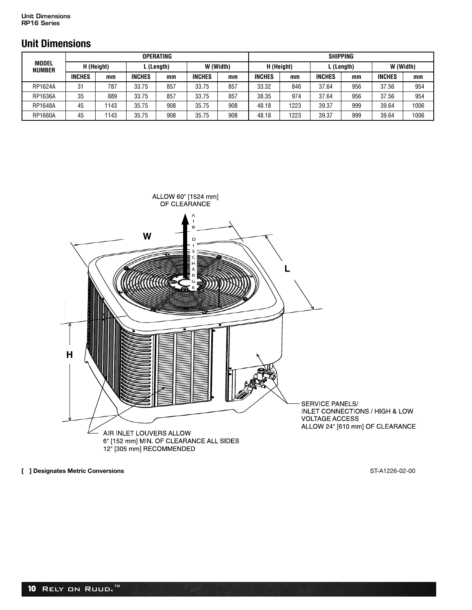Unit Dimensions RP16 Series

## **Unit Dimensions**

|                               |               |            |               | <b>OPERATING</b> |               |           |               |            | <b>SHIPPING</b> |            |               |      |
|-------------------------------|---------------|------------|---------------|------------------|---------------|-----------|---------------|------------|-----------------|------------|---------------|------|
| <b>MODEL</b><br><b>NUMBER</b> |               | H (Height) |               | (Length)         |               | W (Width) |               | H (Height) |                 | L (Length) | W (Width)     |      |
|                               | <b>INCHES</b> | mm         | <b>INCHES</b> | mm               | <b>INCHES</b> | mm        | <b>INCHES</b> | mm         | <b>INCHES</b>   | mm         | <b>INCHES</b> | mm   |
| RP1624A                       | 31            | 787        | 33.75         | 857              | 33.75         | 857       | 33.32         | 846        | 37.64           | 956        | 37.56         | 954  |
| RP1636A                       | 35            | 889        | 33.75         | 857              | 33.75         | 857       | 38.35         | 974        | 37.64           | 956        | 37.56         | 954  |
| <b>RP1648A</b>                | 45            | 1143       | 35.75         | 908              | 35.75         | 908       | 48.18         | 1223       | 39.37           | 999        | 39.64         | 1006 |
| <b>RP1660A</b>                | 45            | 1143       | 35.75         | 908              | 35.75         | 908       | 48.18         | 1223       | 39.37           | 999        | 39.64         | 1006 |



**[ ] Designates Metric Conversions** ST-A1226-02-00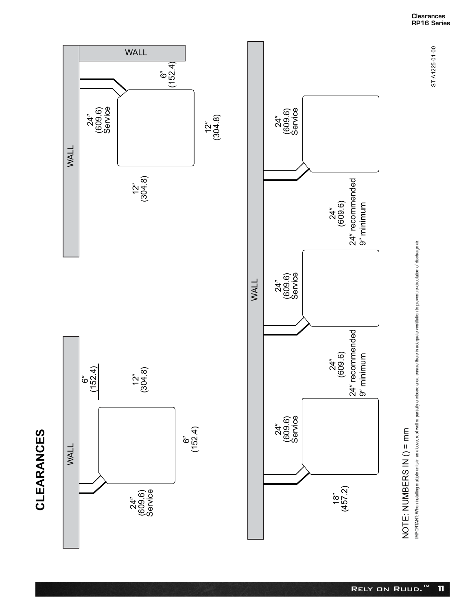





NOTE: NUMBERS IN  $() = mm$ NOTE: NUMBERS IN () = mm

IMPORTANT: When installing multiple units in an alcove, roof well or partially enclosed area, ensure there is adequate verifilation to prevent re-circulation of discharge air. IMPORTANT: When installing multiple units in an alcove, roof well or partially enclosed area, ensure there is adequate ventillation to prevent re-circulation of discharge air.

ST-A1225-01-00

ST-A1225-01-00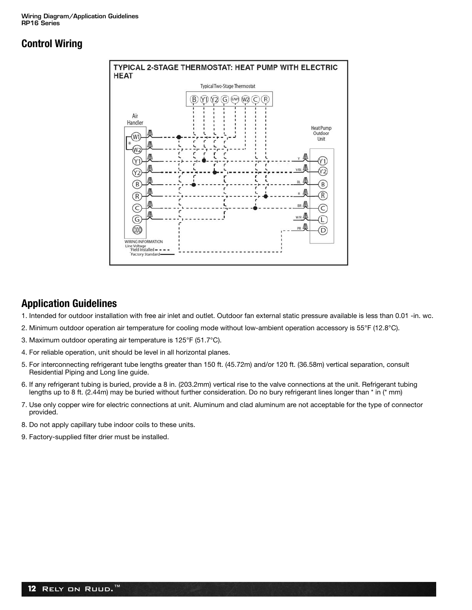## **Control Wiring**



### **Application Guidelines**

- 1. Intended for outdoor installation with free air inlet and outlet. Outdoor fan external static pressure available is less than 0.01 -in. wc.
- 2. Minimum outdoor operation air temperature for cooling mode without low-ambient operation accessory is 55°F (12.8°C).
- 3. Maximum outdoor operating air temperature is 125°F (51.7°C).
- 4. For reliable operation, unit should be level in all horizontal planes.
- 5. For interconnecting refrigerant tube lengths greater than 150 ft. (45.72m) and/or 120 ft. (36.58m) vertical separation, consult Residential Piping and Long line guide.
- 6. If any refrigerant tubing is buried, provide a 8 in. (203.2mm) vertical rise to the valve connections at the unit. Refrigerant tubing lengths up to 8 ft. (2.44m) may be buried without further consideration. Do no bury refrigerant lines longer than \* in (\* mm)
- 7. Use only copper wire for electric connections at unit. Aluminum and clad aluminum are not acceptable for the type of connector provided.
- 8. Do not apply capillary tube indoor coils to these units.
- 9. Factory-supplied filter drier must be installed.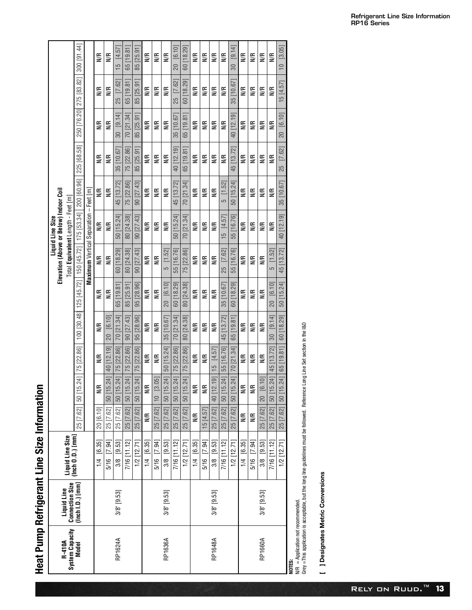| <b>R-410A</b>            |               |                                      |            |                     |                         |              |                |               | Elevation (Above or Below) Indoor Coil<br>Liquid Line Size |             |               |              |              |                          |
|--------------------------|---------------|--------------------------------------|------------|---------------------|-------------------------|--------------|----------------|---------------|------------------------------------------------------------|-------------|---------------|--------------|--------------|--------------------------|
|                          |               | Liquid Line Size<br>(Inch 0.D.) [mm] |            |                     |                         |              |                |               | Total Equivalent Length - Feet [m]                         |             |               |              |              |                          |
| System Capacity<br>Model |               |                                      | 25 [7.62]  | .24]<br>50 [15      | 75 [22.86]              | 100 [30.48]  | [45.72]<br>125 | 150 [45.72]   | 175 [53.34]                                                | 200 [60.96] | 225 [68.58]   | 250 [76.20]  | 275 [83.82]  | 300 [91.44]              |
|                          |               |                                      |            |                     |                         |              |                |               | Maximum Vertical Separation - Feet [m                      |             |               |              |              |                          |
|                          |               | [6.35]<br>$\frac{4}{1}$              | 20 [6.10]  | <b>N/R</b>          | N/R                     | N/R          | N/R            | N/R           | N/R                                                        | N/R         | N/R           | N/R          | N/R          | N/R                      |
|                          |               | 5/16 [7.94]                          | 25 [7.62]  | $5.24$ ]<br>50   15 | 40 [12.19]              | [6.10]<br>20 | N/R            | N/R           | N/R                                                        | N/R         | N/R           | N/R          | N/R          | N/R                      |
| <b>RP1624A</b>           | 3/8" [9.53]   | 3/8 [9.53]                           | 25 [7.62]  | $5.24$ ]<br>50 [15  | 75 [22.86]              | 70 [21.34]   | 65 [19.81      | 60 [18.29]    | 50 [15.24]                                                 | 45 [13.72]  | 35 [10.67]    | [9.14]<br>30 | [7.62]<br>25 | [4.57]<br>$\frac{15}{2}$ |
|                          |               | 7/16 [11.12]                         | 25 [7.62]  | $.24$ ]<br>50 [15   | 75 [22.86]              | 90 [27.43]   | 85 [25.91      | 80 [24.38]    | 80 [24.38]                                                 | 75 [22.86]  | 75 [22.86]    | 70 [21.34]   | 65 [19.81    | 65 [19.81                |
|                          |               | $1/2$ [12.71]                        | 25 [7.62]  | $.24$ ]<br>50 [15   | 75 [22.86]              | 95 [28.96]   | 95 [28.96]     | 90 [27.43]    | 90 [27.43]                                                 | 90 [27.43]  | 85 [25.91]    | 85 [25.91]   | 85 [25.91]   | 85 [25.91                |
|                          |               | 1/4 [6.35]                           | N/R        | <b>M/R</b>          | N/R                     | N/R          | N/R            | N/R           | N/R                                                        | N/R         | N/R           | N/R          | N/R          | N/R                      |
|                          |               | 5/16 [7.94]                          | 25 [7.62]  | ,051<br>$10^{13}$   | ¶∕k                     | N/R          | N/R            | N/R           | N/R                                                        | ¶∕k         | N/R           | N/R          | N/R          | N/R                      |
| <b>RP1636A</b>           | $3/8"$ [9.53] | 3/8 [9.53]                           | 25 [7.62]  | $.24$ ]<br>50   15  | 50 [15.24]              | 35 [10.67    | [6.10]<br>20   | [1.52]<br>5   | N/R                                                        | N/R         | N/R           | <b>WR</b>    | N/R          | N/R                      |
|                          |               | 7/16 [11.12]                         | 25 [7.62]  | $.24$ ]<br>50   15  | 75 [22.86]              | 70 [21.34]   | 60 [18.29]     | 55 [16.76]    | 50 [15.24]                                                 | 45 [13.72]  | 40 [12.19]    | 35 [10.67]   | [7.62]<br>25 | [6.10]<br><u>ລ</u>       |
|                          |               | $1/2$ [12.71]                        | 25 [7.62]  | .24]<br>50   15     | 75 [22.86]              | 80 24.38     | [24.38]<br>80  | [22.86]<br>75 | 70 [21.34]                                                 | 70 [21.34]  | [19.81]<br>65 | 65 [19.81]   | 60 [18.29]   | 60 [18.29]               |
|                          |               | 1/4 [6.35]                           | N/R        | <b>MS</b>           | N/R                     | N/R          | N/R            | N/R           | N/R                                                        | N/R         | N/R           | N/R          | N/R          | N/R                      |
|                          |               | 5/16 [7.94]                          | 15 [4.57]  | N/R                 | N/R                     | N/R          | N/R            | N/R           | N/R                                                        | N/R         | N/R           | N/R          | N/R          | N/R                      |
| RP1648A                  | 3/8" [9.53]   | 3/8 [9.53]                           | 25 [7.62]  | 40 [12.19]          | [4.57]<br>$\frac{5}{1}$ | N/R          | N/R            | N/R           | N/R                                                        | N/R         | <b>N/R</b>    | N/R          | N/R          | N/R                      |
|                          |               | 7/16 [11.12]                         | 25 [7.62]  | $5.24$ ]<br>50 [15] | 55 [16.76]              | 45 [13.72]   | 35 [10.67      | [7.62]<br>25  | [4.57]<br>5Ļ                                               | [1.52]<br>5 | N/R           | N/R          | N/R          | N/R                      |
|                          |               | $1/2$ [12.71]                        | 25 [7.62]  | $.24$ ]<br>50   15  | 70 [21.34]              | 65 [19.81    | 60 [18.29]     | 55 [16.76]    | 55 [16.76]                                                 | 50 [15.24]  | 45 [13.72]    | 40 [12.19]   | 35 [10.67]   | [9.14]<br>30             |
|                          |               | 1/4 [6.35]                           | <b>N/R</b> | <b>M/R</b>          | <b>N/R</b>              | N/R          | N/R            | N/R           | N/R                                                        | N/R         | N/R           | N/R          | N/R          | N/R                      |
|                          |               | 5/16 [7.94]                          | N/R        | <b>N/R</b>          | N/R                     | N/R          | N/R            | N/R           | N/R                                                        | N/R         | N/R           | N/R          | N/R          | N/R                      |
| RP1660A                  | 3/8" [9.53]   | 3/8 [9.53]                           | 25 [7.62]  | 20 [6.10]           | N/R                     | N/R          | N/R            | N/R           | N/R                                                        | N/R         | N/R           | N/R          | N/R          | N/R                      |
|                          |               | 7/16 [11.12]                         | 25 [7.62]  | 24]<br>50   15      | 45 [13.72]              | [9.14]<br>30 | [6.10]<br>20   | [1.52]<br>5   | N/R                                                        | N/R         | N/R           | N/R          | N/R          | N/R                      |
|                          |               | $1/2$ [12.71]                        | 25 [7.62]  | 0.24<br>50 [15      | 65 [19.81]              | 60 [18.29]   | 50 [15.24]     | 45 [13.72]    | 40 [12.19]                                                 | 35 [10.67]  | [7.62]<br>25  | [6.10]<br>20 | 15 [4.57]    | [3.05]<br>$\Rightarrow$  |
|                          |               |                                      |            |                     |                         |              |                |               |                                                            |             |               |              |              |                          |

**Heat Pump Refrigerant Line Size Information Heat Pump Refrigerant Line Size Information** 

N/R = Application not recommended.

**NOTES:**<br>N/R = Application not recommended.<br>Grey =This application is acceptable, but the long line guidelines must be followed. Reference Long Line Set section in the I&O Grey =This application is acceptable, but the long line guidelines must be followed. Reference Long Line Set section in the I&O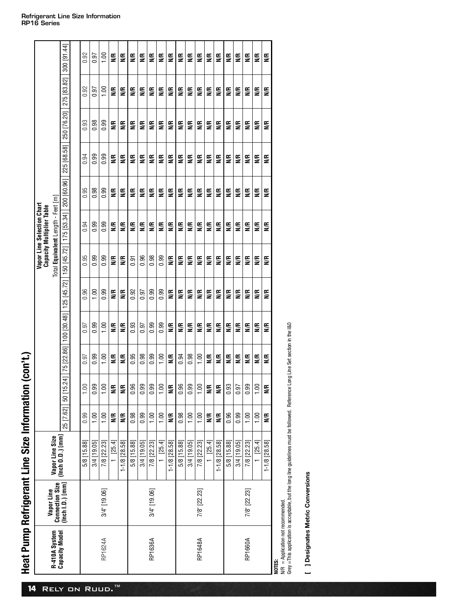| ו<br>ו      |
|-------------|
| j           |
| į           |
| Ξ<br>۱<br>í |
| 1<br>l      |

| R-410A System<br>Capacity Model | Vapor Line                          | Vapor Line Size        |            |               |                          |                |                | Total Equivalent Length - Feet [m] | Vapor Line Selection Chart<br>Capacity Multiplier Table |             |                         |             |                |                    |
|---------------------------------|-------------------------------------|------------------------|------------|---------------|--------------------------|----------------|----------------|------------------------------------|---------------------------------------------------------|-------------|-------------------------|-------------|----------------|--------------------|
|                                 | Connection Size<br>(Inch I.D.) [mm] | $($ Inch $0. D.$ ) [mm | 25 [7.62]  | 50 [15.24]    | [22.86]<br>$\frac{1}{2}$ | 100 [30.48]    | [45.72]<br>125 | 150 [45.72]                        | 175 [53.34]                                             | 200 [60.96] | 58]<br><u>68</u><br>225 | 250 [76.20] | [83.82]<br>275 | [91.44]<br>$-3001$ |
|                                 |                                     | 5/8 [15.88]            | 0.99       | 1.00          | 0.97                     | 56<br>ö        | 0.96           | 95<br>ö                            | 0.94                                                    | 0.95        | 0.94                    | S.<br>6     | 0.92           | 0.92               |
|                                 |                                     | 3/4 [19.05]            | 1.00       | 0.99          | 0.99                     | ඝ<br>ö         | $\frac{8}{1}$  | œ.<br>ö                            | 0.99                                                    | 0.98        | 0.99                    | 3<br>ö      | 0.97           | 0.97               |
| RP1624A                         | 3/4" [19.06]                        | 7/8 [22.23]            | 1.00       | 00.1          | $\frac{8}{10}$           | S <sub>1</sub> | 0.99           | œ.<br>ö                            | 0.99                                                    | 0.99        | 0.99                    | 0.99        | $\frac{00}{1}$ | $\frac{8}{100}$    |
|                                 |                                     | 1 [25.4]               | <b>N/R</b> | <b>N/R</b>    | ¶∕k                      | <b>WR</b>      | <b>WR</b>      | <b>WR</b>                          | <b>WR</b>                                               | ¶∕k         | <b>WR</b>               | <b>WR</b>   | ¶∕k            | ¶∕k                |
|                                 |                                     | 1-1/8 [28.58]          | <b>N/R</b> | WR            | <b>WR</b>                | ¶∕k            | <b>WR</b>      | ¶∕k                                | ¶∕k                                                     | ¶∕k         | ¶∕k                     | <b>WR</b>   | ¶∕k            | ¶∕k                |
|                                 |                                     | 5/8 [15.88]            | 0.98       | 0.96          | 0.95                     | <u>යි</u><br>ö | 0.92           | 5<br>ö                             | <b>WR</b>                                               | <b>WR</b>   | <b>WR</b>               | <b>WR</b>   | <b>WR</b>      | ¶∕k                |
|                                 |                                     | 3/4 [19.05]            | 0.99       | 0.99          | 0.98                     | 92<br>ö        | 0.97           | 96<br>ö                            | ¶∕k                                                     | ¶∕k         | ¶∕k                     | <b>WR</b>   | <b>WR</b>      | ¶∕k                |
| RP1636A                         | 3/4" [19.06]                        | 7/8 [22.23]            | 1.00       | 0.99          | 0.99                     | ஐ<br>d         | 0.99           | 0.98                               | <b>WR</b>                                               | ¶∕k         | <b>WR</b>               | <b>N/R</b>  | <b>WR</b>      | <b>WR</b>          |
|                                 |                                     | 1 [25.4]               | 1.00       | 1.00          | 100                      | ஐ<br>ö         | 0.99           | 0.99                               | <b>WR</b>                                               | <b>WR</b>   | ¶∕k                     | <b>WR</b>   | <b>WR</b>      | ¶∕k                |
|                                 |                                     | 1-1/8 [28.58]          | WR.        | l∰            | S                        | S              | S              | ¶∕k                                | <b>WR</b>                                               | <b>SE</b>   | <b>SE</b>               | <b>WR</b>   | ¶∕k            | S                  |
|                                 |                                     | 5/8 [15.88]            | 0.98       | 0.96          | 0.94                     | ¶∕k            | <b>WR</b>      | <b>WR</b>                          | <b>WR</b>                                               | <b>WR</b>   | ¶∕k                     | ¶∕R         | <b>WR</b>      | ¶∕k                |
|                                 |                                     | 3/4 [19.05]            | 1.00       | 0.99          | 0.98                     | S              | S              | S                                  | УÆ                                                      | S           | S                       | S           | S              | S                  |
| RP1648A                         | 7/8" [22.23]                        | 7/8 [22.23]            | 1.00       | $\frac{0}{1}$ | 1.00                     | S              | S              | S                                  | ¶∕k                                                     | S           | S                       | ¶∕k         | <b>\e</b>      | ¶∕k                |
|                                 |                                     | 1 [25.4]               | WR         | WR.           | УÆ                       | WR.            | WR.            | ¶∕k                                | <b>WR</b>                                               | WR          | WR.                     | <b>WR</b>   | ¶∕k            | WR.                |
|                                 |                                     | $1 - 1/8$ [28.58]      | <b>N/R</b> | WR.           | <b>M</b>                 | <b>WR</b>      | <b>WR</b>      | <b>WR</b>                          | <b>WR</b>                                               | <b>WR</b>   | <b>WR</b>               | <b>WR</b>   | WR.            | WR.                |
|                                 |                                     | 5/8 [15.88]            | 0.96       | 0.93          | S                        | S              | S              | <b>NR</b>                          | ¶∕k                                                     | <b>WR</b>   | ¶∕k                     | ¶∕k         | ¶∕k            | ¶∕k                |
|                                 |                                     | 3/4 [19.05]            | 0.99       | 0.97          | WR                       | <b>N/R</b>     | WR.            | <b>N/R</b>                         | <b>N/R</b>                                              | <b>WR</b>   | WR                      | <b>SE</b>   | WR             | <b>WR</b>          |
| RP1660A                         | 7/8" [22.23]                        | 7/8 [22.23]            | 1.00       | 0.99          | <b>WR</b>                | <b>WR</b>      | <b>WR</b>      | <b>WR</b>                          | <b>N/R</b>                                              | <b>WR</b>   | <b>WR</b>               | <b>SE</b>   | <b>WR</b>      | <b>WR</b>          |
|                                 |                                     | 1 [25.4]               | 1.00       | 1.00          | <b>WR</b>                | <b>WR</b>      | <b>WR</b>      | <b>WR</b>                          | <b>WR</b>                                               | <b>WR</b>   | <b>WR</b>               | <b>WR</b>   | <b>WR</b>      | WR                 |
|                                 |                                     | $1 - 1/8$ [28.58]      | WR.        | WЯ            | <b>WR</b>                | ¶∕k            | WR.            | ¶∕k                                | WR                                                      | <b>WR</b>   | WR                      | ¶∕k         | ¶∕k            | WR                 |

N/R = Application not recommended.

**NOTES:**<br>N/R = Application not recommended.<br>Grey =This application is acceptable, but the long line guidelines must be followed. Reference Long Line Set section in the I&O Grey =This application is acceptable, but the long line guidelines must be followed. Reference Long Line Set section in the I&O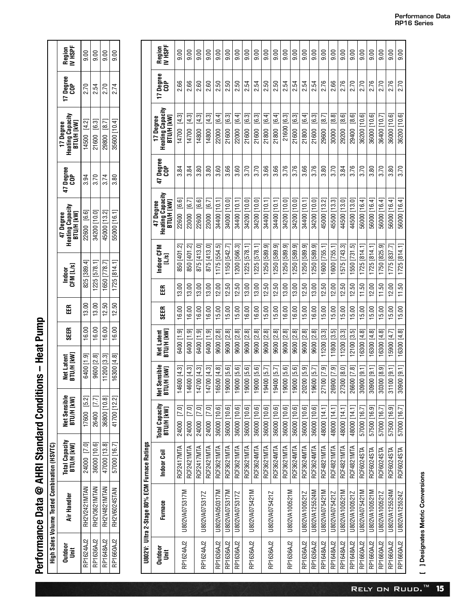Performance Data @ AHRI Standard Conditions - Heat Pump **Performance Data @ AHRI Standard Conditions – Heat Pump**

|              | High Sales Volume Tested Combination (HSVTC)         |                                     |                                   |                                 |               |                |                     |                                             |                  |                                                          |                  |                   |
|--------------|------------------------------------------------------|-------------------------------------|-----------------------------------|---------------------------------|---------------|----------------|---------------------|---------------------------------------------|------------------|----------------------------------------------------------|------------------|-------------------|
| Jutdoor<br>Ë | Air Handler                                          | Total Capacity<br><b>BTU/H [KW]</b> | <b>BTU/H [kW]</b><br>Net Sensible | <b>STU/H IKW,</b><br>Net Latent | <b>SEER</b>   | 臣              | Indoor<br>CFM [L/s] | Heating Capacity<br>BTU/H [kW]<br>47 Degree | 47 Degree<br>COP | <b>Heating Capacit</b><br><b>BTU/H [KW]</b><br>17 Degree | l7 Degree<br>COP | Region<br>IV HSPF |
|              | RP1624AJ2   RH2V2421MTAN   24000 [7.0]   17600 [5.2] |                                     |                                   | 6400 [1.9]   16.00   13.00      |               |                | 825 [389.4]         | 22600 [6.6]                                 | 3.94             | 4500 [4.2]                                               | 2.70             | $\frac{0}{9}$     |
|              | RP1636AJ2   RH2V3621MTAN                             | $10000$ [10.6]                      | $[7.7]$ 26400 $[7.7]$             | 9600 [2.8]                      | 16.00         | $13.00 + 12.0$ | 1225 [578.1]        | 34200 [10.0]                                | 3.70             | 21600 [6.3]                                              | 2.54             | 0.00              |
|              | RP1648AJ2 RH2V4821MTAN                               | $47000$ [13.8]                      | [10.8]                            | 11200 [3.3]                     | 16.00   12.50 |                | 1650 [778.7]        | 45000 [13.2]                                | 3.74             | 29800 [8.7]                                              | 2.70             | 0.00              |
|              | RP1660AJ2   RH2V6024STAN                             | 57000 [16.7]   41700 [12.2]         |                                   | 16300 [4.8]                     | $16.00$ 12.50 |                | 1725 [814.1]        | 55000 [16.1]                                | 3.80             | 35600 [10.4]                                             | 2.74             | 0.00              |
|              |                                                      |                                     |                                   |                                 |               |                |                     |                                             |                  |                                                          |                  |                   |

|                 | U802V: Ultra 2-Stage 80% ECM Furnace Ratings |             |                              |                           |                                 |             |       |                     |                                                    |                  |                                                    |                  |                   |
|-----------------|----------------------------------------------|-------------|------------------------------|---------------------------|---------------------------------|-------------|-------|---------------------|----------------------------------------------------|------------------|----------------------------------------------------|------------------|-------------------|
| Outdoor<br>Unit | Furnace                                      | Indoor Coil | Total Capacity<br>BTU/H [KW] | Sensible<br>U/H [KW]<br>들 | <b>BTU/H [kW]</b><br>Net Latent | <b>SEER</b> | 뜺     | Indoor CFM<br>[1/s] | Heating Capacity<br><b>BTU/H IKWI</b><br>47 Degree | 47 Degree<br>COP | Heating Capacity<br><b>BTU/H IKWI</b><br>17 Degree | 17 Degree<br>COP | IV HSPF<br>Region |
| RP1624AJ2       | U802VA075317M                                | RCF2417MTA  | $[7.0]$<br>24000             | 600 [4.3]<br>₹            | 6400 [1.9]                      | 16.00       | 13.00 | 850 [401.2]         | 22600 [6.6]                                        | 3.84             | [4.3]<br>14700                                     | 2.66             | 0.6               |
|                 |                                              | RCF2421MTA  | 24000 [7.0]                  | 600 [4.3]<br>후            | 6400 [1.9]                      | 16.00       | 13.00 | 850 [401.2]         | [6.7]<br>23000                                     | 3.84             | $\begin{bmatrix} 4.3 \end{bmatrix}$<br>14700       | 2.66             | $\frac{8}{9}$     |
| RP1624AJ2       | U802VA075317Z                                | RCF2417MTA  | 24000 [7.0]                  | 700 [4.3]<br>⋣            | 6400 [1.9]                      | 16.00       | 13.00 | 875 [413.0]         | [6.6]<br>22600                                     | 3.80             | [4.3]<br>14800                                     | 2.60             | ອ<br>ອ            |
|                 |                                              | RCF2421MTA  | 24000 [7.0]                  | 700 [4.3]<br>⋣            | 6400 [1.9]                      | 16.00       | 13.00 | 875 [413.0]         | 23000 [6.7]                                        | 3.80             | [4.3]<br>14800                                     | 2.60             | $\frac{8}{9}$     |
| RP1636AJ2       | U802VA050317M                                | RCF3621MTA  | 36000 [10.6]                 | 500 [4.8]<br>قب           | 9600 [2.8]                      | 15.00       | 12.00 | $175$ [554.5]       | 34400 [10.1]                                       | 3.60             | 64<br>22000                                        | 2.50             | ទ<br>ទ            |
| RP1636AJ2       | U802VA075317M                                | RCF3621MTA  | 36000 [10.6]                 | 19000 [5.6]               | 9600 [2.8]                      | 15.00       | 12.50 | 1150 [542]          | 34000 [10.0]                                       | 3.66             | [6.3]<br>21600                                     | 2.50             | $\frac{8}{9}$     |
| RP1636AJ2       | U802VA075317Z                                | RCF3621MTA  | 36000 [10.6]                 | 19000 [5.6]               | 9600 [2.8]                      | 15.00       | 12.50 | 200   566.3         | 34400 [10.1]                                       | 3.60             | $6.4$ ]<br>22000                                   | 2.50             | $\frac{8}{9}$     |
|                 |                                              | RCF3621MTA  | 36000 [10.6]                 | 19000 [5.6]               | 9600 [2.8]                      | 16.00       | 13.00 | $225$ [578.1        | 34200 [10.0]                                       | 3.70             | 6.3<br>21600                                       | 2.54             | $\frac{8}{9}$     |
| RP1636AJ2       | U802VA075421M                                | RCF3624MTA  | 36000 [10.6]                 | 19000 [5.6]               | 9600 [2.8]                      | 16.00       | 13.00 | 225   578.1         | 34200 [10.0]                                       | 3.70             | [6.3]<br>21600                                     | 2.54             | 8.00              |
| RP1636AJ2       | U802VA075421Z                                | RCF3621MTA  | 36000 [10.6]                 | 19400 [5.7]               | 9600 [2.8]                      | 15.00       | 12.50 | 1250 [589.9]        | 34400 [10.1]                                       | 3.66             | [6.4]<br>21800                                     | 50               | 0.6               |
|                 |                                              | RCF3624MTA  | 36000 [10.6]                 | 19400 [5.7]               | 9600 [2.8]                      | 15.00       | 12.50 | 250 [589.9]         | 34400 [10.1]                                       | 3.66             | 64<br>21800                                        | 2.50             | S.G               |
| RP1636AJ2       | U802VA100521M                                | RCF3621MTA  | 36000 [10.6]                 | 19000 [5.6]               | 9600 [2.8]                      | 16.00       | 13.00 | 1250 [589.9]        | 34200 [10.0]                                       | 3.76             | 21600 [6.3]                                        | 2.54             | $\frac{8}{9}$     |
|                 |                                              | RCF3624MTA  | 36000 [10.6]                 | 19000 [5.6]               | 9600 [2.8]                      | 16.00       | 13.00 | 1250 [589.9]        | 34200 [10.0]                                       | 3.76             | [6.3]<br>21600                                     | 54<br>نہ         | $\frac{8}{9}$     |
| RP1636AJ2       | U802VA100521Z                                | RCF3624MTA  | 36000 [10.6]                 | 20200 [5.9]               | 9600 [2.8]                      | 15.00       | 12.50 | 250 [589.9]         | 34400 [10.1]                                       | 3.66             | 64<br>21800                                        | 2.54             | $\frac{8}{9}$     |
| RP1636AJ2       | U802VA125524M                                | RCF3624MTA  | 36000 [10.6]                 | 19600 [5.7]               | 9600 [2.8]                      | 16.00       | 13.00 | 250 [589.9]         | 34200 [10.0]                                       | 3.76             | $\begin{bmatrix} 6.3 \end{bmatrix}$<br>21600       | 2.54             | $\frac{8}{9}$     |
| RP1648AJ2       | U802VA075421M                                | RCF4821MTA  | 48000 [14.1]                 | 27100 [7.9]               | 11200 [3.3]                     | 15.00       | 12.50 | 1600   755.1        | 45000 [13.2]                                       | 3.80             | [8.7]<br>29600                                     | 2.76             | 0.6               |
| RP1648AJ2       | U802VA075421Z                                | RCF4821MTA  | 48000 [14.1]                 | [6.7]006<br>Š.            | 11800 [3.5]                     | 15.00       | 12.00 | 1600 [755.1         | 45500 [13.3]                                       | 3.70             | $\left[ 8.8 \right]$<br>30000                      | 2.66             | S.G               |
| RP1648AJ2       | U802VA100521M                                | RCF4821MTA  | 48000 [14.1]                 | 300 [8.0]<br>27           | 11200 [3.3]                     | 15.00       | 12.50 | ణ<br>575 [743.      | 44500 [13.0]                                       | 3.84             | [8.6]<br>29200                                     | 2.76             | $\frac{8}{9}$     |
| RP1648AJ2       | U802VA100521Z                                | RCF4821MTA  | 48000 [14.1]                 | 26600 [7.8]               | 2100  3.5                       | 15.00       | 12.50 | 1550 [731.5]        | 44500 [13.0]                                       | 3.76             | [8.6]<br>29400                                     | 2.70             | $\frac{8}{9}$     |
| RP1660AJ2       | U802VA075421M                                | RCF6024STA  | 57000 [16.7]                 | 30900 [9.1]               | 6300 [4.8]                      | 15.00       | 11.50 | 1725   814.1        | 56000 [16.4]                                       | 3.70             | 36200 [10.6]                                       | 2.70             | $\frac{8}{9}$     |
| RP1660AJ2       | U802VA100521M                                | RCF6024STA  | 57500 [16.9]                 | 30900 [9.1                | 16300 [4.8]                     | 15.00       | 12.00 | 1725   814.1        | 56000 [16.4]                                       | 3.80             | 36000 [10.6]                                       | 2.76             | 0.6               |
| RP1660AJ2       | U802VA100521Z                                | RCF6024STA  | 57000 [16.7]                 | 300 [8.9]<br>န္တ          | 6300 [4.8]                      | 15.00       | 11.50 | 1750   825.9        | 56000 [16.4]                                       | 3.70             | 36400 [10.7]                                       | 2.70             | 0.6               |
| RP1660AJ2       | U802VA125524M                                | RCF6024STA  | 57500 [16.9]                 | 100 [9.1]<br>रू           | 5900 [4.7]                      | 15.00       | 12.00 | 1775   837.7        | 56000 [16.4]                                       | 3.80             | 36000 [10.6]                                       | 2.76             | S.G               |
| RP1660AJ2       | U802VA125524Z                                | RCF6024STA  | 57000 [16.7]                 | 30900 [9.1]               | 16300 [4.8]                     | 15.00       | 11.50 | 1725   814.1        | 56000 [16.4]                                       | 3.70             | 36200 [10.6]                                       | 2.70             | 8.ie              |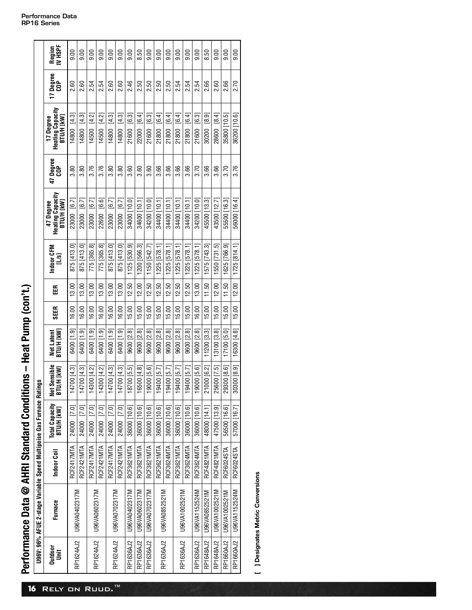|                 | U96V: 96% AFUE 2-stage Variable Speed Multipoise Gas Furnace Ratings |                   |                                     |                                         |                          |             |       |                         |                                                    |                  |                                             |                  |                         |
|-----------------|----------------------------------------------------------------------|-------------------|-------------------------------------|-----------------------------------------|--------------------------|-------------|-------|-------------------------|----------------------------------------------------|------------------|---------------------------------------------|------------------|-------------------------|
| Outdoor<br>Unit | Furnace                                                              | Indoor Coil       | Total Capacity<br><b>BTU/H [kW]</b> | Sensible<br>J/H [KW]<br><b>BLD</b><br>ğ | BTU/H [kw]<br>Net Latent | <b>SEER</b> | EE    | Indoor CFM<br><u>ای</u> | Heating Capacity<br><b>BTU/H [kW]</b><br>47 Degree | 47 Degree<br>COP | Heating Capacity<br>BTU/H [kW]<br>17 Degree | 17 Degree<br>COP | <b>N HSPF</b><br>Region |
| RP1624AJ2       | U96VA0402317M                                                        | <b>RCF2417MTA</b> |                                     | 00[4.3]<br>147                          | 6400 [1.9]               | 16.00       | 13.00 | 875 [413.0]             | 23000 [6.7]                                        | 3.80             | [4.3]<br>14800                              | 2.60             | 000                     |
|                 |                                                                      | RCF2421MTA        | 24000 [7.0]                         | $[6.1]$ 00<br>147                       | 6400 [1.9]               | 16.00       | 13.00 | 875 [413.0]             | 23000 [6.7]                                        | 3.80             | [4.3]<br>14800                              | 2.60             | 000                     |
| RP1624AJ2       |                                                                      | RCF2417MTA        | 24000 [7.0]                         | 14300 [4.2]                             | 6400 [1.9]               | 16.00       | 13.00 | 775 [365.8]             | 23000 [6.7]                                        | 3.76             | $14500$ [4.2]                               | 2.54             | 000                     |
|                 | U96VA0602317M                                                        | <b>RCF2421MTA</b> | 24000 [7.0]                         | 14300 [4.2]                             | 6400 [1.9]               | 16.00       | 13.00 | 775 [365.8]             | 22600 [6.6]                                        | 3.76             | $14500$ [4.2]                               | 2.54             | $\frac{5}{2}$           |
| RP1624AJ2       | U96VA0702317M                                                        | RCF2417MTA        | 24000 [7.0]                         | [6.4]<br>147                            | 6400 [1.9]               | 16.00       | 13.00 | 875 [413.0]             | 23000 [6.7]                                        | 3.80             | [4.3]<br>14800                              | 2.60             | 000                     |
|                 |                                                                      | RCF2421MTA        | 24000 [7.0]                         | 700[4.3]<br>147                         | 6400 [1.9]               | 16.00       | 13.00 | 875 [413.0]             | 23000 [6.7]                                        | 3.80             | $14800$ [4.3]                               | 2.60             | 0.00                    |
| RP1636AJ2       | U96VA0402317M                                                        | RCF3621MTA        | 36000 [10.6]                        | 700 [5.5]<br>187                        | 9600 [2.8]               | 15.00       | 12.50 | 1125 [530.9]            | 34000 [10.0]                                       | 3.60             | $[6.3]$<br>21600                            | 246              | 8.00                    |
| RP1636AJ2       | U96VA0602317M                                                        | RCF3621MTA        | 36000 [10.6]                        | 00[4.8]<br>165                          | 9600 [2.8]               | 15.00       | 12.00 | 1200 [566.3]            | 34600 [10.1]                                       | 3.60             | $[6.4]$<br>22000                            | 2.50             | 8.50                    |
| RP1636AJ2       | U96VA0702317M                                                        | RCF3621MTA        | 36000 [10.6]                        | 19000 [5.6]                             | 9600 [2.8]               | 15.00       | 12.50 | 1150   542.7            | 34200 [10.0]                                       | 3.60             | $[6.3]$<br>21600                            | 2.50             | 0.00                    |
|                 |                                                                      | RCF3621MTA        | 36000 [10.6]                        | [5.7]<br>$\frac{1}{9}$                  | 9600 [2.8]               | 15.00       | 12.50 | 1225   578.1            | 34400 [10.1]                                       | 3.66             | [6.4]<br>21800                              | 2.50             | $\frac{8}{3}$           |
| RP1636AJ2       | U96VA0852521M                                                        | RCF3624MTA        | 36000 [10.6]                        | $-100$ [5.7]<br>$\frac{1}{94}$          | 9600 [2.8]               | 15.00       | 12.50 | 1225 [578.1             | 34400 [10.1]                                       | 3.66             | [6.4]<br>21800                              | 2.50             | 000                     |
| RP1636AJ2       |                                                                      | RCF3621MTA        | 36000 [10.6]                        | 19400 [5.7]                             | 9600 [2.8]               | 15.00       | 12.50 | 1225 [578.1             | 34400 [10.1]                                       | 3.66             | [6.4]<br>21800                              | 2.54             | 000                     |
|                 | U96VA1002521M                                                        | RCF3624MTA        | 36000 [10.6]                        | [5.7]<br>$\frac{1}{9}$                  | 9600 [2.8]               | 15.00       | 12.50 | 1225   578.1            | 34400 [10.1]                                       | 3.66             | [6.4]<br>21800                              | 2.54             | 00.6                    |
| RP1636AJ2       | U96VA1152524M                                                        | RCF3624MTA        | 36000 [10.6]                        | 00 [5.6]<br>ခဲ့                         | 9600 [2.8]               | 16.00       | 13.00 | 1225 [578.1             | 34200 [10.0]                                       | 3.70             | [6.3]<br>21600                              | 2.54             | 000                     |
| RP1648AJ2       | U96VA0852521M                                                        | RCF4821MTA        | 48000 [14.1]                        | 21000 [6.2]                             | 11200 [3.3]              | 15.00       | 11.50 | 1575 [743.3]            | 45500 [13.3]                                       | 3.66             | [8.9]<br>30200                              | 2.66             | 8.50                    |
| RP1648AJ2       | U96VA1002521M                                                        | RCF4821MTA        | 47500 [13.9]                        | 25600 [7.5]                             | 13100 [3.8]              | 15.00       | 12.00 | 1550 [731.5]            | 43500 [12.7]                                       | 3.66             | 28600 [8.4]                                 | 2.60             | 8.00                    |
| RP1660AJ2       | U96VA1002521M                                                        | RCF6024STA        | 56500 [16.6]                        | 0018.6<br>293                           | 17100 [5.0]              | 15.00       | 11.50 | 1625 [766.9]            | 55500 [16.3]                                       | 3.70             | 35800 [10.5]                                | 2.66             | 000                     |
| RP1660AJ2       | U96VA1152524M                                                        | RCF6024STA        | 57000 [16.7]                        | 800 [8.9]<br>303                        | 16300 [4.8]              | 15.00       | 12.00 | 1725 814.1              | 56000 [16.4]                                       | 3.76             | 36200 [10.6]                                | 2.70             | 0.00                    |
|                 |                                                                      |                   |                                     |                                         |                          |             |       |                         |                                                    |                  |                                             |                  |                         |

Performance Data @ AHRI Standard Conditions - Heat Pump (con't.) **Performance Data @ AHRI Standard Conditions – Heat Pump (con't.)**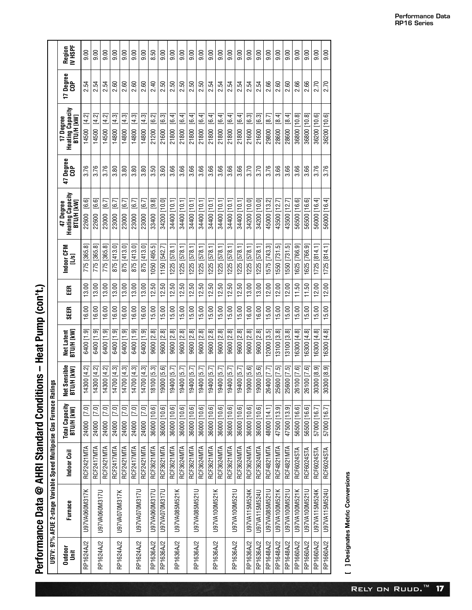| j                                            |
|----------------------------------------------|
|                                              |
|                                              |
|                                              |
|                                              |
|                                              |
|                                              |
|                                              |
|                                              |
|                                              |
|                                              |
|                                              |
|                                              |
|                                              |
|                                              |
| ء<br>+                                       |
|                                              |
|                                              |
|                                              |
|                                              |
|                                              |
|                                              |
| וא – הפּמו <b>ד</b> י                        |
|                                              |
|                                              |
|                                              |
|                                              |
|                                              |
|                                              |
| $\frac{1}{2}$<br>i                           |
|                                              |
|                                              |
|                                              |
|                                              |
|                                              |
|                                              |
|                                              |
|                                              |
|                                              |
|                                              |
|                                              |
|                                              |
|                                              |
|                                              |
|                                              |
|                                              |
|                                              |
|                                              |
|                                              |
|                                              |
|                                              |
|                                              |
|                                              |
|                                              |
|                                              |
| i<br>C<br>D                                  |
|                                              |
|                                              |
|                                              |
|                                              |
|                                              |
| Performance Data @ AHRI Str<br>$\frac{1}{2}$ |
|                                              |
|                                              |
|                                              |
|                                              |
|                                              |
|                                              |
|                                              |
|                                              |
|                                              |
|                                              |
|                                              |
|                                              |
|                                              |
|                                              |
|                                              |
|                                              |
|                                              |
|                                              |
|                                              |

|                                                                    | IV HSPF<br>Region                                 | 00.6           | $\frac{8}{20}$      | 0.6                       | 0.00                    | 0.00           | 000             | S.G                                          | 8.50                            | 0.00             | 00.6              | 000                | 000                        | 0.6                 | 0.00            | 0.00             | $\frac{8}{20}$   | 000            | 0.00           | $\frac{8}{9}$  | 000               | 000               | 0.00           | 000               | 0.00            | $\frac{8}{20}$ | 0.00           |
|--------------------------------------------------------------------|---------------------------------------------------|----------------|---------------------|---------------------------|-------------------------|----------------|-----------------|----------------------------------------------|---------------------------------|------------------|-------------------|--------------------|----------------------------|---------------------|-----------------|------------------|------------------|----------------|----------------|----------------|-------------------|-------------------|----------------|-------------------|-----------------|----------------|----------------|
|                                                                    | 17 Degree<br>COP                                  | 2.54           | 2.54                | 2.54                      | 2.60                    | 2.60           | 2.60            | 2.60                                         | 510                             | 2.50             | 2.50              | 2.50               | 2.50                       | 2.50                | 2.54            | 2.54             | 2.54             | 2.54           | 2.54           | 2.54           | 2.66              | 2.60              | 2.60           | 2.66              | 2.66            | 2.70           | 2.70           |
|                                                                    | Heating Capacity<br>17 Degree<br><b>BTU/H [kW</b> | [4.2]<br>14500 | $[4.2]$<br>14500    | [4.2]<br>14500            | $[4.3]$<br>14800        | [4.3]<br>14800 | [4.3]<br>14800  | $\begin{bmatrix} 4.3 \end{bmatrix}$<br>14800 | $[6.2]$<br>21200                | $[6.3]$<br>21600 | 6.4<br>21800      | [6.4]<br>21800     | [6.4]<br>21800             | [6.4]<br>21800      | [6.4]<br>21800  | [6.4]<br>21800   | [6.4]<br>21800   | [6.4]<br>21800 | [6.3]<br>21600 | [6.3]<br>21600 | [8.7]<br>29800    | [8.4]<br>28600    | [8.4]<br>28600 | 36800 [10.8]      | 36800 [10.8]    | 36200 [10.6]   | 36200 [10.6]   |
|                                                                    | 47 Degree<br>COP                                  | 3.76           | 3.76                | 3.76                      | 3.80                    | 3.80           | 3.80            | 3.80                                         | 3.50                            | 3.60             | 3.66              | 3.66               | 3.66                       | 3.66                | 3.66            | 3.66             | 3.66             | 3.66           | 3.70           | 3.70           | 3.76              | 3.66              | 3.66           | 3.66              | 3.66            | 3.76           | 3.76           |
|                                                                    | Heating Capacity<br>47 Degree<br><b>BTU/H IKW</b> | 22600 [6.6]    | <u>آ6ج</u><br>22600 | $\overline{6.7}$<br>23000 | $\overline{5}$<br>23000 | [6.7]<br>23000 | [6.7]<br>23000  | $\overline{6.7}$<br>23000                    | [9.8]<br>33400                  | 34200 [10.0]     | 34400 [10.1]      | 34400 [10.1        | 34400 [10.1]               | 34400 [10.1         | 34400 [10.1     | 34400 [10.1      | 34400 [10.1      | 34400 [10.1    | 34200 [10.0]   | 34200 [10.0]   | 45000 [13.2]      | 43500 [12.7       | 43500 [12.7]   | 56500 [16.6]      | 56500 [16.6]    | 56000 [16.4]   | 56000 [16.4]   |
|                                                                    | Indoor CFM<br>[L/s]                               | 775 [365.8]    | 775 1365.8          | 775 [365.8]               | 875 [413.0]             | 375 [413.0]    | 875 [413.0]     | 875 [413.0]                                  | 050 [495.5]                     | 1150 542.7       | 225 [578.1        | 225 [578.1         | 225 [578.1]                | 225 [578.1          | 225 [578.1]     | 225 [578.1]      | 225 [578.1]      | 225 [578.1]    | 1225 [578.1    | 225 [578.1]    | 1575 743.3        | 550 [731.5]       | 550 [731.5]    | 625 [766.9]       | 625 [766.9]     | 725 814.1      | $1725$ [814.1] |
|                                                                    | 띖                                                 | 13.00          | 13.00               | 3.00                      | 13.00                   | <b>13.00</b>   | 13.00           | 3.00                                         | 12.50                           | <b>2.50</b>      | 12.50             | 2.50               | <b>2.50</b>                | <b>12.50</b>        | 2.50            | <b>2.50</b>      | 12.50            | <b>12.50</b>   | 3.00           | 3.00           | 2.00              | 12.00             | 2.00           | 11.50             | 11.50           | 12.00          | 12.00          |
|                                                                    | <b>SEER</b>                                       | 16.00          | 16.00               | 16.00                     | 16.00                   | 16.00          | 16.00           | 16.00                                        | 15.00                           | 15.00            | 15.00             | 15.00              | 15.00                      | 15.00               | 15.00           | 15.00            | 15.00            | 15.00          | 16.00          | 16.00          | 15.00             | 15.00             | 15.00          | 15.00             | 15.00           | 15.00          | 15.00          |
|                                                                    | <b>BTU/H IKW</b><br>Net Latent                    | 6400 [1.9]     | 6400 [1.9]          | 6400 [1.9]                | 6400 [1.9]              | ِ ص<br>6400 [1 | 6400 [1.9]      | 6400 [1.9]                                   | 9600 [2.8]                      | 9600 [2.8]       | 9600 [2.8]        | 9600 [2.8]         | 9600 [2.8]                 | 9600 [2.8]          | 9600 [2.8]      | 9600 [2.8]       | 9600 [2.8]       | 9600 [2.8]     | 9600 [2.8]     | 9600 [2.8]     | 2000 [3.5]        | 3100 [3.8]        | 3100 3.8       | 16300 [4.8]       | 8300 [4.8]      | 6300 [4.8]     | 16300 [4.8]    |
| 9S                                                                 | Sensible<br><b>IMIL H/I</b><br><b>PLIS</b><br>Jel | 14300 [4.2]    | 00[4.2]<br>143      | 14300 [4.2]               | 00[4.3]<br>147          | 00[4.3]<br>147 | 00 [4.3]<br>147 | 14700 [4.3]                                  | $ 00 $ [5.3]<br>$\frac{18}{18}$ | 19000 [5.6]      | $00$ [5.7]<br>194 | $100$ [5.7]<br>194 | 100 [5.7]<br>$\frac{1}{9}$ | $00\,$ [5.7]<br>194 | 00 [5.7]<br>194 | 100 [5.7]<br>194 | 100 [5.7]<br>194 | [5.7]<br>194   | 19000 [5.6]    | 19000 [5.6]    | 26400 [7.7]       | 25600 [7.5]       | 25600 [7.5]    | $00$ [7.6]<br>261 | 00 [7.6]<br>261 | 30300 [8.9]    | 30300 [8.9]    |
|                                                                    | Total Capacity<br>BTU/H [kW]                      | [7.0]<br>24000 | [7.0]<br>24000      | $[7.0]$<br>24000          | 24000 [7.0]             | [7.0]<br>24000 | 24000 [7.0]     | $[7.0]$<br>24000                             | 36000 [10.6]                    | 36000 [10.6]     | 36000 [10.6]      | 36000 [10.6]       | 36000 [10.6]               | 36000 [10.6]        | 36000 [10.6]    | 36000 [10.6]     | 36000 [10.6]     | 36000 [10.6]   | 36000 [10.6]   | 36000 [10.6]   | 48000 [14.1       | 47500 [13.9]      | 47500 [13.9]   | 56500 [16.6]      | 56500 [16.6]    | 57000 [16.7]   | 57000 [16.7]   |
|                                                                    | Indoor Coil                                       | RCF2421MTA     | RCF2417MTA          | RCF2421MTA                | RCF2417MTA              | RCF2421MTA     | RCF2417MTA      | RCF2421MTA                                   | RCF3621MTA                      | RCF3621MTA       | RCF3621MTA        | RCF3624MTA         | RCF3621MTA                 | RCF3624MTA          | RCF3621MTA      | RCF3624MTA       | RCF3621MTA       | RCF3624MTA     | RCF3624MTA     | RCF3624MTA     | <b>RCF4821MTA</b> | <b>RCF4821MTA</b> | RCF4821MTA     | RCF6024STA        | RCF6024STA      | RCF6024STA     | RCF6024STA     |
| U97V: 97% AFUE 2-stage Variable Speed Multipoise Gas Furnace Ratin | Furnace                                           | U97VA060M317K  |                     | U97VA060M317U             |                         | U97VA070M317K  |                 | U97VA070M317U                                | U97VA060M317U                   | U97VA070M817U    |                   | U97VA085M521K      |                            | U97VA085M521U       |                 | U97VA100M521K    | U97VA100M521U    |                | U97VA115M524K  | U97VA115M524U  | U97VA085M521U     | U97VA100M521K     | U97VA100M521U  | U97VA100M521K     | U97VA100M521U   | U97VA115M524K  | U97VA115M524U  |
|                                                                    | <b>Outdoor</b><br>š                               | RP1624AJ2      |                     | RP1624AJ2                 |                         | RP1624AJ2      |                 | RP1624AJ2                                    | RP1636AJ2                       | RP1636AJ2        |                   | RP1636AJ2          | RP1636AJ2                  |                     |                 | RP1636AJ2        | RP1636AJ2        |                | RP1636AJ2      | RP1636AJ2      | RP1648AJ2         | RP1648AJ2         | RP1648AJ2      | RP1660AJ2         | RP1660AJ2       | RP1660AJ2      | RP1660AJ2      |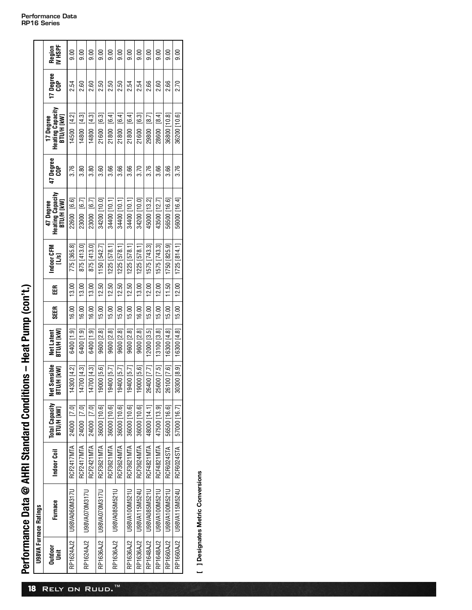|              | U98VA Furnace Ratings     |                   |                                            |                                           |                                 |             |       |                       |                                                    |                  |                                            |                  |                         |
|--------------|---------------------------|-------------------|--------------------------------------------|-------------------------------------------|---------------------------------|-------------|-------|-----------------------|----------------------------------------------------|------------------|--------------------------------------------|------------------|-------------------------|
| Outdoor<br>Š | Furnace                   | Indoor Coil       | <b>Total Capacity</b><br><b>BTU/H [kW]</b> | ensible<br><b>TMYLIK</b><br>Net S<br>ЙLIS | <b>BTU/H [KW]</b><br>Net Latent | <b>SEER</b> | EÃ    | Indoor CFM<br>$L/s$ ] | Heating Capacity<br><b>BTU/H [kW]</b><br>47 Degree | 47 Degree<br>COP | Heating Capacity<br>ENVH IKWI<br>17 Degree | 17 Degree<br>COP | <b>N HSPF</b><br>Region |
| RP1624AJ2    | U98VA060M317U             | RCF2417MTA        | 24000 [7.0]                                | 14300 [4.2]                               | 6400 [1.9]                      | 16.00       | 13.00 | 775 [365.8]           | 22600 [6.6]                                        | 3.76             | 14500 [4.2]                                | 2.54             | 8.00                    |
|              | RP1624AJ2   U98VA070M317U | RCF2417MTA        | 24000 [7.0]                                | 14700 [4.3]                               | 6400 [1.9]                      | 16.00       | 13.00 | 875 [413.0]           | 23000 [6.7]                                        | 3.80             | 14800 [4.3]                                | 2.60             | S.G                     |
|              |                           | RCF2421MTA        | 24000 [7.0]                                | 00 [4.3]<br>147                           | 6400 [1.9]                      | 16.00       | 13.00 | 875 [413.0]           | 23000 [6.7]                                        | 3.80             | 14800 [4.3]                                | 2.60             | 0.00                    |
| RP1636AJ2    | U98VA070M317U             | RCF3621MTA        | 36000 [10.6]                               | 19000 [5.6]                               | 9600 [2.8]                      | 15.00       | 12.50 | 1150 [542.7]          | 34200 [10.0]                                       | 3.60             | 21600 [6.3]                                | 2.50             | S.G                     |
|              | RP1636AJ2   U98VA085M521U | RCF3621MTA        | 36000 [10.6]                               | 19400 [5.7]                               | 9600 [2.8]                      | 15.00       | 12.50 | 1225 [578.1]          | 34400 [10.1]                                       | 3.66             | 21800 [6.4]                                | 2.50             | S.G                     |
|              |                           | RCF3624MTA        | 36000 [10.6]                               | 00 [5.7]<br>$\frac{4}{3}$                 | 9600 [2.8]                      | 15.00       | 12.50 | 1225 [578.1]          | 34400 [10.1]                                       | 3.66             | 21800 [6.4]                                | 2.50             | 8.00                    |
|              | RP1636AJ2   U98VA100M521U | RCF3621MTA        | 36000 [10.6]                               | 19400 [5.7]                               | 9600 [2.8]                      | 15.00       | 12.50 | $1225$ [578.1]        | 34400 [10.1]                                       | 3.66             | 21800 [6.4]                                | 254              | 00 <sub>0</sub>         |
|              | RP1636AJ2   U98VA115M524U | RCF3624MTA        | 36000 [10.6]                               | 00[5.6]<br>$\frac{50}{5}$                 | 9600 [2.8]                      | 16.00       | 13.00 | 1225 [578.1]          | 34200 [10.0]                                       | 3.70             | 21600 [6.3]                                | 2.54             | S.G                     |
| RP1648AJ2    | U98VA085M521U             | RCF4821MTA        | 48000 [14.1]                               | 26400 [7.7]                               | 12000 [3.5]                     | 15.00       | 12.00 | 1575 [743.3]          | 45000 [13.2]                                       | 3.76             | 29800 [8.7]                                | 2.66             | S.G                     |
|              | RP1648AJ2   U98VA100M521U | <b>RCF4821MTA</b> | 47500 [13.9]                               | 25600 [7.5]                               | 13100 [3.8]                     | 15.00       | 12.00 | 1575 [743.3]          | 43500 [12.7]                                       | 3.66             | 28600 [8.4]                                | <b>2.60</b>      | $\frac{8}{3}$           |
|              | RP1660AJ2   U98VA100M521U | RCF6024STA        | 56500 [16.6]                               | 00 [7.6]<br>261                           | 16300 [4.8]                     | 15.00       | 11.50 | 1750 [825.9]          | 56500 [16.6]                                       | 3.66             | 36800 [10.8]                               | 2.66             | Sö                      |
| RP1660AJ2    | U98VA115M524U             | RCF6024STA        | 57000 [16.7]                               | 30300 [8.9]                               | 16300 [4.8]                     | 15.00       | 12.00 | 1725 [814.1]          | 56000 [16.4]                                       | 3.76             | 36200 [10.6]                               | 2.70             | $\frac{6}{9}$           |
|              |                           |                   |                                            |                                           |                                 |             |       |                       |                                                    |                  |                                            |                  |                         |

[ ] Designates Metric Conversions **[ ] Designates Metric Conversions**

**Performance Data @ AHRI Standard Conditions – Heat Pump (con't.)**

Performance Data @ AHRI Standard Conditions - Heat Pump (con't.)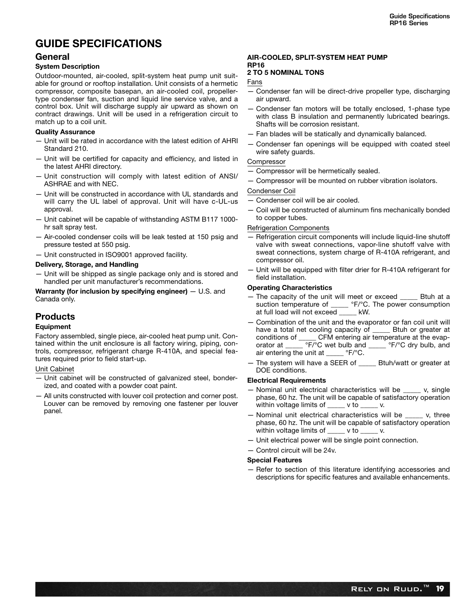## **GUIDE SPECIFICATIONS**

### **General**

### **System Description**

Outdoor-mounted, air-cooled, split-system heat pump unit suitable for ground or rooftop installation. Unit consists of a hermetic compressor, composite basepan, an air-cooled coil, propellertype condenser fan, suction and liquid line service valve, and a control box. Unit will discharge supply air upward as shown on contract drawings. Unit will be used in a refrigeration circuit to match up to a coil unit.

### **Quality Assurance**

- Unit will be rated in accordance with the latest edition of AHRI Standard 210.
- Unit will be certified for capacity and efficiency, and listed in the latest AHRI directory.
- Unit construction will comply with latest edition of ANSI/ ASHRAE and with NEC.
- Unit will be constructed in accordance with UL standards and will carry the UL label of approval. Unit will have c-UL-us approval.
- Unit cabinet will be capable of withstanding ASTM B117 1000 hr salt spray test.
- Air-cooled condenser coils will be leak tested at 150 psig and pressure tested at 550 psig.
- Unit constructed in ISO9001 approved facility.

### **Delivery, Storage, and Handling**

— Unit will be shipped as single package only and is stored and handled per unit manufacturer's recommendations.

**Warranty (for inclusion by specifying engineer)** – U.S. and Canada only.

### **Products**

### **Equipment**

Factory assembled, single piece, air-cooled heat pump unit. Contained within the unit enclosure is all factory wiring, piping, controls, compressor, refrigerant charge R-410A, and special features required prior to field start-up.

Unit Cabinet

- Unit cabinet will be constructed of galvanized steel, bonderized, and coated with a powder coat paint.
- All units constructed with louver coil protection and corner post. Louver can be removed by removing one fastener per louver panel.

### **AIR-COOLED, SPLIT-SYSTEM HEAT PUMP RP16**

### **2 TO 5 NOMINAL TONS**

Fans

- Condenser fan will be direct-drive propeller type, discharging air upward.
- Condenser fan motors will be totally enclosed, 1-phase type with class B insulation and permanently lubricated bearings. Shafts will be corrosion resistant.
- Fan blades will be statically and dynamically balanced.
- Condenser fan openings will be equipped with coated steel wire safety guards.

### Compressor

- Compressor will be hermetically sealed.
- Compressor will be mounted on rubber vibration isolators.

Condenser Coil

- Condenser coil will be air cooled.
- Coil will be constructed of aluminum fins mechanically bonded to copper tubes.

### Refrigeration Components

- Refrigeration circuit components will include liquid-line shutoff valve with sweat connections, vapor-line shutoff valve with sweat connections, system charge of R-410A refrigerant, and compressor oil.
- Unit will be equipped with filter drier for R-410A refrigerant for field installation.

### **Operating Characteristics**

- The capacity of the unit will meet or exceed \_\_\_\_\_ Btuh at a suction temperature of \_\_\_\_\_ °F/°C. The power consumption at full load will not exceed \_\_\_\_ kW.
- Combination of the unit and the evaporator or fan coil unit will have a total net cooling capacity of \_\_\_\_\_ Btuh or greater at conditions of \_\_\_\_\_ CFM entering air temperature at the evaporator at \_\_\_\_\_\_<sup>o</sup>F/°C wet bulb and \_\_\_\_\_ °F/°C dry bulb, and air entering the unit at \_\_\_\_\_ °F/°C.
- The system will have a SEER of \_\_\_\_\_ Btuh/watt or greater at DOE conditions.

### **Electrical Requirements**

- Nominal unit electrical characteristics will be \_\_\_\_\_ v, single phase, 60 hz. The unit will be capable of satisfactory operation within voltage limits of vio v.
- Nominal unit electrical characteristics will be \_\_\_\_\_ v, three phase, 60 hz. The unit will be capable of satisfactory operation within voltage limits of \_\_\_\_\_ v to \_\_\_\_\_ v.
- Unit electrical power will be single point connection.
- Control circuit will be 24v.

#### **Special Features**

— Refer to section of this literature identifying accessories and descriptions for specific features and available enhancements.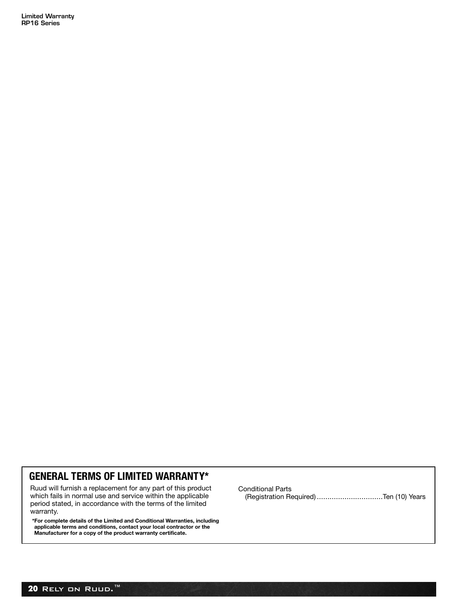Limited Warranty RP16 Series

## **GENERAL TERMS OF LIMITED WARRANTY\***

Ruud will furnish a replacement for any part of this product which fails in normal use and service within the applicable period stated, in accordance with the terms of the limited warranty.

**\*For complete details of the Limited and Conditional Warranties, including applicable terms and conditions, contact your local contractor or the Manufacturer for a copy of the product warranty certificate.**

Conditional Parts (Registration Required) ...............................Ten (10) Years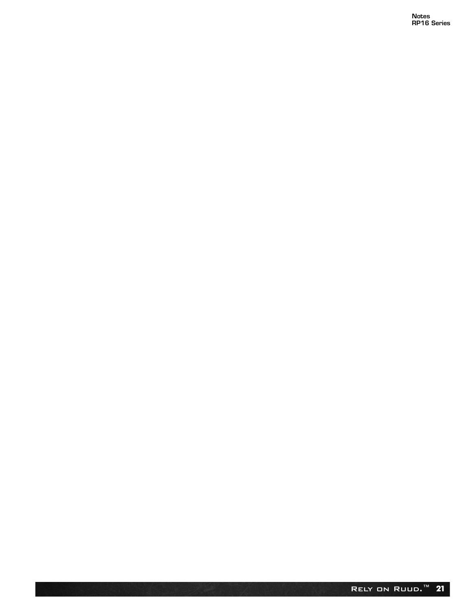Notes<br>RP16 Series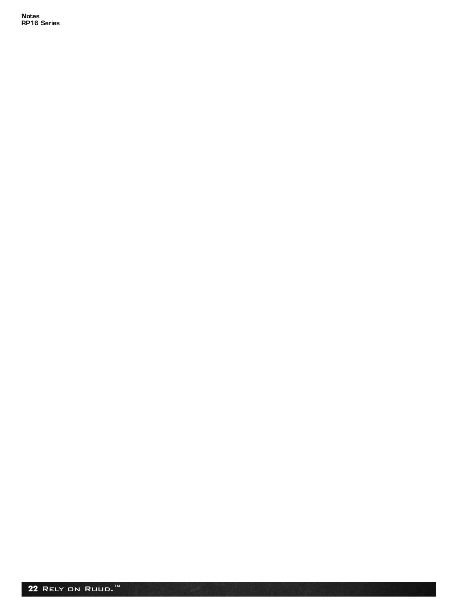Notes<br>RP16 Series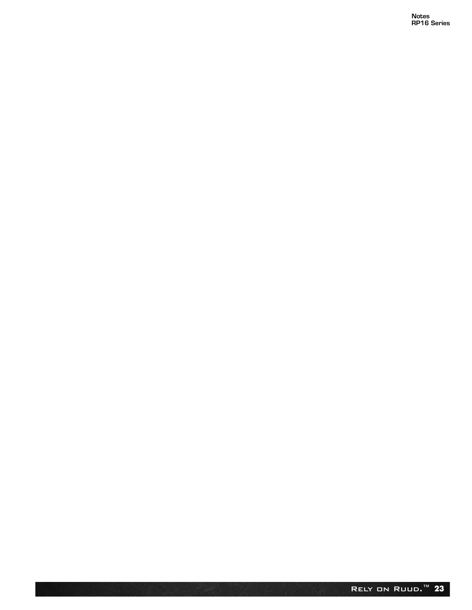Notes<br>RP16 Series